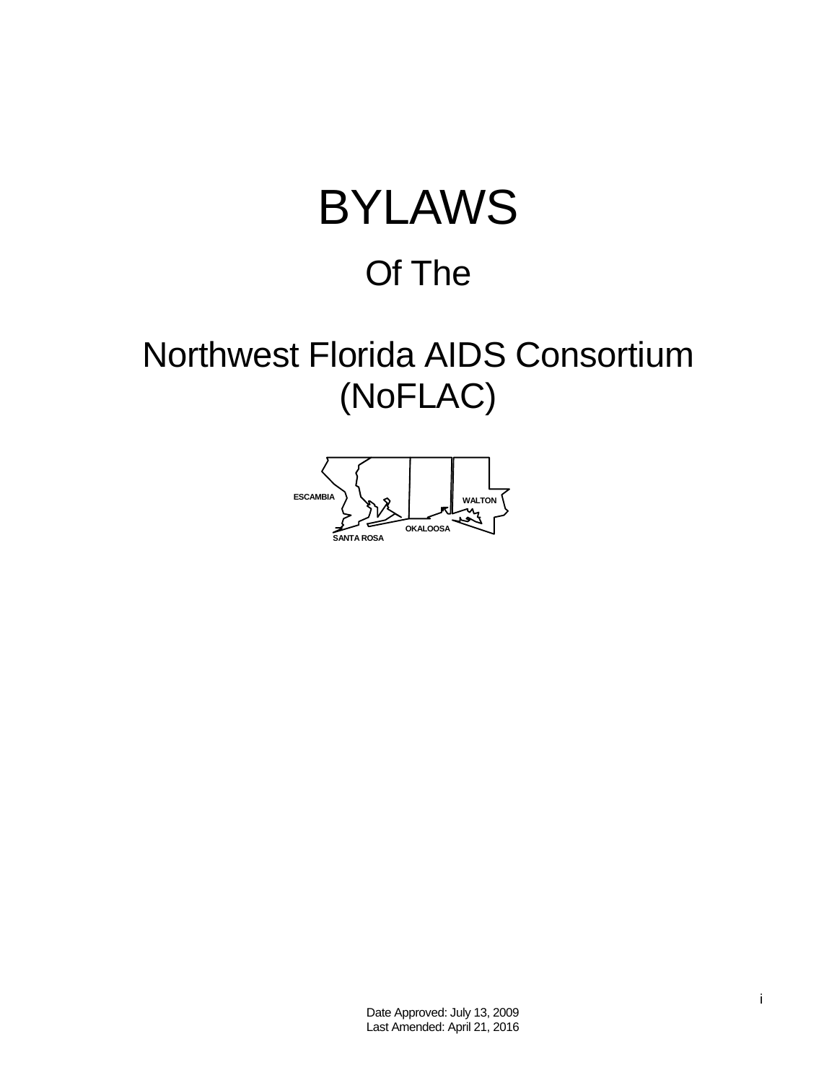# BYLAWS Of The

## Northwest Florida AIDS Consortium (NoFLAC)

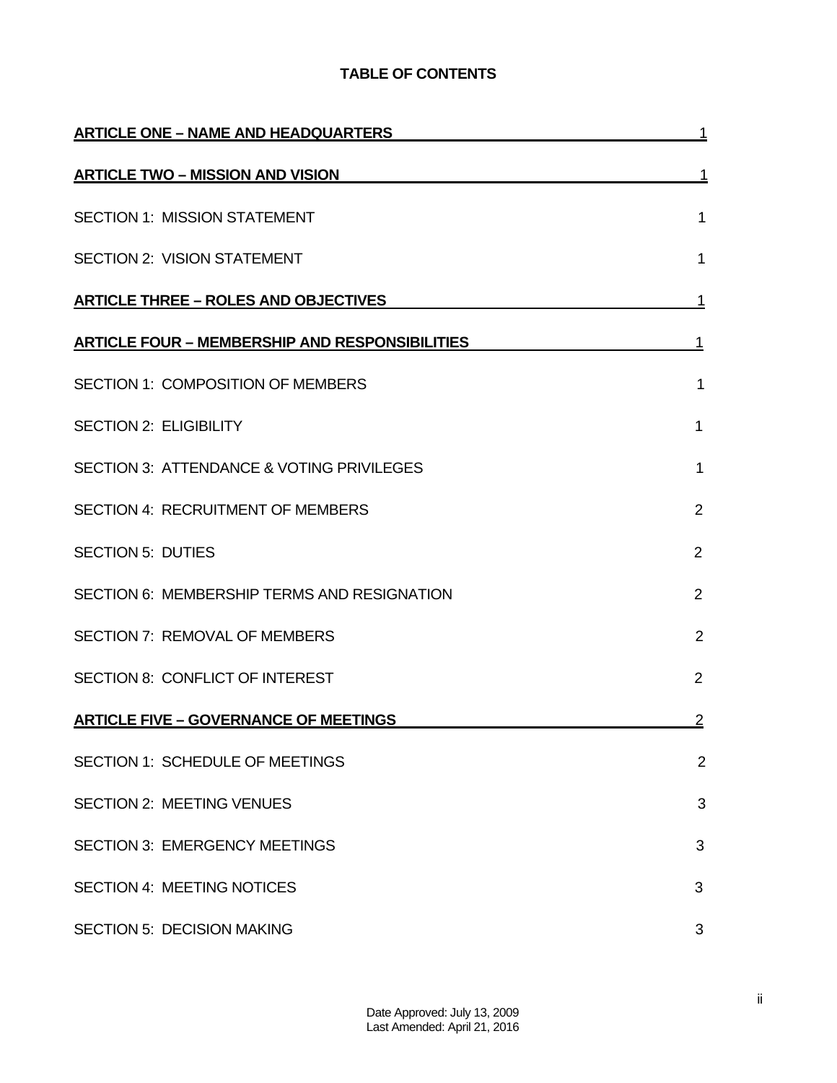## **TABLE OF CONTENTS**

| <b>ARTICLE ONE - NAME AND HEADQUARTERS</b>            |                |
|-------------------------------------------------------|----------------|
| <b>ARTICLE TWO - MISSION AND VISION</b>               | 1              |
| <b>SECTION 1: MISSION STATEMENT</b>                   | 1              |
| <b>SECTION 2: VISION STATEMENT</b>                    | 1              |
| <b>ARTICLE THREE - ROLES AND OBJECTIVES</b>           | 1              |
| <b>ARTICLE FOUR - MEMBERSHIP AND RESPONSIBILITIES</b> | 1              |
| <b>SECTION 1: COMPOSITION OF MEMBERS</b>              | 1              |
| <b>SECTION 2: ELIGIBILITY</b>                         | 1              |
| SECTION 3: ATTENDANCE & VOTING PRIVILEGES             | 1              |
| <b>SECTION 4: RECRUITMENT OF MEMBERS</b>              | $\overline{2}$ |
| <b>SECTION 5: DUTIES</b>                              | $\overline{2}$ |
| SECTION 6: MEMBERSHIP TERMS AND RESIGNATION           | $\overline{2}$ |
| <b>SECTION 7: REMOVAL OF MEMBERS</b>                  | $\overline{2}$ |
| SECTION 8: CONFLICT OF INTEREST                       | $\overline{2}$ |
| <b>ARTICLE FIVE - GOVERNANCE OF MEETINGS</b>          | $\overline{2}$ |
| SECTION 1: SCHEDULE OF MEETINGS                       | $\overline{2}$ |
| <b>SECTION 2: MEETING VENUES</b>                      | 3              |
| <b>SECTION 3: EMERGENCY MEETINGS</b>                  | 3              |
| <b>SECTION 4: MEETING NOTICES</b>                     | 3              |
| <b>SECTION 5: DECISION MAKING</b>                     | 3              |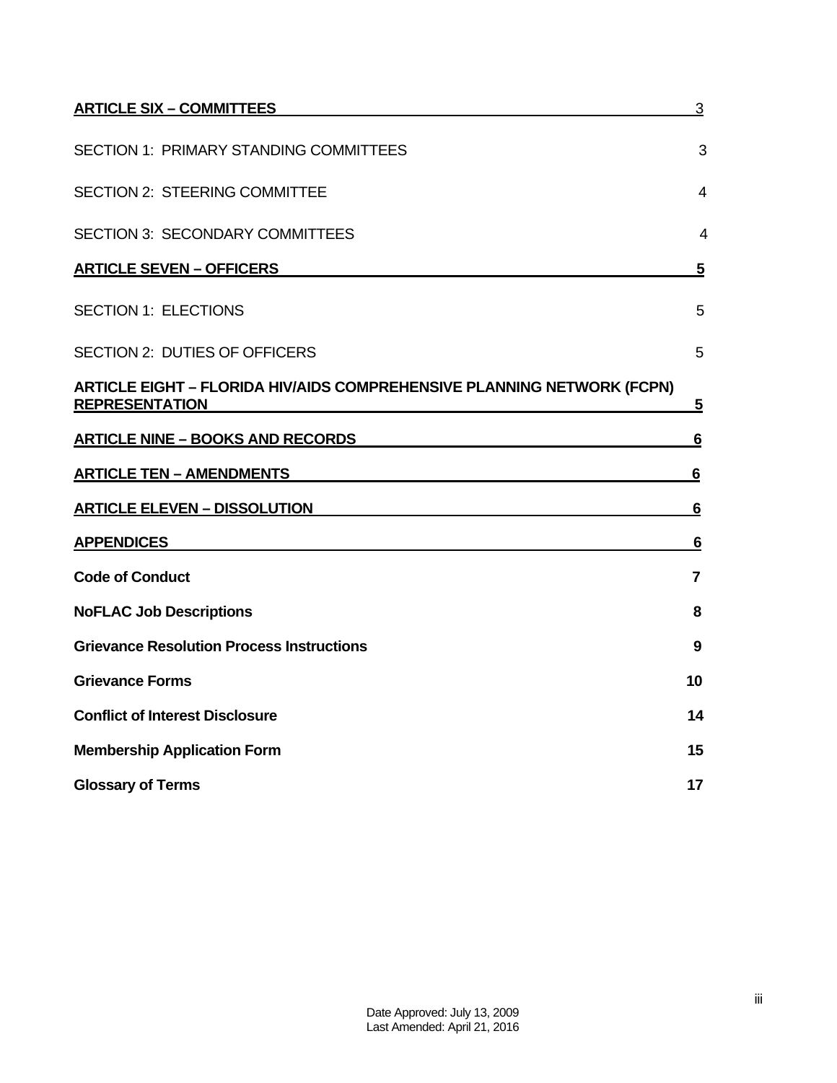| <b>ARTICLE SIX - COMMITTEES</b>                                                                        | $\sqrt{3}$     |
|--------------------------------------------------------------------------------------------------------|----------------|
| <b>SECTION 1: PRIMARY STANDING COMMITTEES</b>                                                          | 3              |
| <b>SECTION 2: STEERING COMMITTEE</b>                                                                   | 4              |
| <b>SECTION 3: SECONDARY COMMITTEES</b>                                                                 | 4              |
| <b>ARTICLE SEVEN - OFFICERS</b>                                                                        | 5              |
| <b>SECTION 1: ELECTIONS</b>                                                                            | 5              |
| SECTION 2: DUTIES OF OFFICERS                                                                          | 5              |
| <b>ARTICLE EIGHT - FLORIDA HIV/AIDS COMPREHENSIVE PLANNING NETWORK (FCPN)</b><br><b>REPRESENTATION</b> | <u>5</u>       |
| <b>ARTICLE NINE - BOOKS AND RECORDS</b>                                                                | 6              |
| <b>ARTICLE TEN - AMENDMENTS</b>                                                                        | $6\phantom{1}$ |
| <b>ARTICLE ELEVEN - DISSOLUTION</b>                                                                    | 6              |
| <b>APPENDICES</b>                                                                                      | <u>6</u>       |
| <b>Code of Conduct</b>                                                                                 | $\overline{7}$ |
| <b>NoFLAC Job Descriptions</b>                                                                         | 8              |
| <b>Grievance Resolution Process Instructions</b>                                                       | 9              |
| <b>Grievance Forms</b>                                                                                 | 10             |
| <b>Conflict of Interest Disclosure</b>                                                                 | 14             |
| <b>Membership Application Form</b>                                                                     | 15             |
| <b>Glossary of Terms</b>                                                                               | 17             |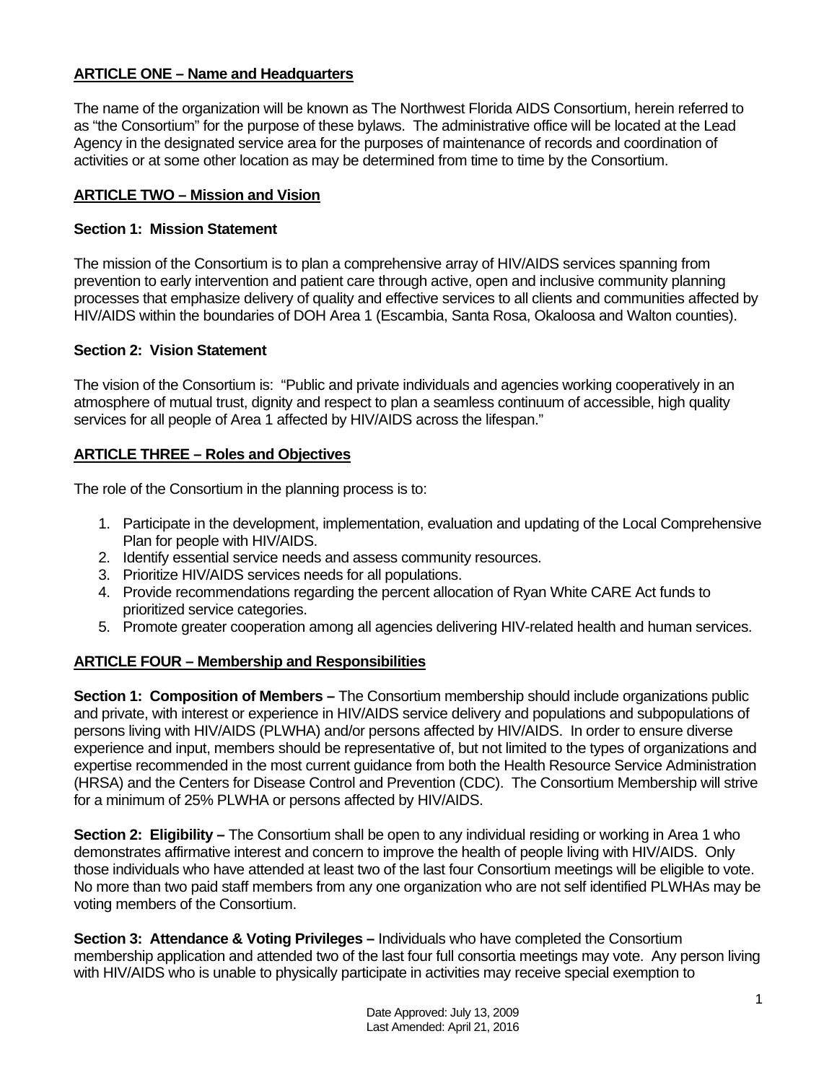## **ARTICLE ONE – Name and Headquarters**

The name of the organization will be known as The Northwest Florida AIDS Consortium, herein referred to as "the Consortium" for the purpose of these bylaws. The administrative office will be located at the Lead Agency in the designated service area for the purposes of maintenance of records and coordination of activities or at some other location as may be determined from time to time by the Consortium.

## **ARTICLE TWO – Mission and Vision**

## **Section 1: Mission Statement**

The mission of the Consortium is to plan a comprehensive array of HIV/AIDS services spanning from prevention to early intervention and patient care through active, open and inclusive community planning processes that emphasize delivery of quality and effective services to all clients and communities affected by HIV/AIDS within the boundaries of DOH Area 1 (Escambia, Santa Rosa, Okaloosa and Walton counties).

## **Section 2: Vision Statement**

The vision of the Consortium is: "Public and private individuals and agencies working cooperatively in an atmosphere of mutual trust, dignity and respect to plan a seamless continuum of accessible, high quality services for all people of Area 1 affected by HIV/AIDS across the lifespan."

## **ARTICLE THREE – Roles and Objectives**

The role of the Consortium in the planning process is to:

- 1. Participate in the development, implementation, evaluation and updating of the Local Comprehensive Plan for people with HIV/AIDS.
- 2. Identify essential service needs and assess community resources.
- 3. Prioritize HIV/AIDS services needs for all populations.
- 4. Provide recommendations regarding the percent allocation of Ryan White CARE Act funds to prioritized service categories.
- 5. Promote greater cooperation among all agencies delivering HIV-related health and human services.

## **ARTICLE FOUR – Membership and Responsibilities**

**Section 1: Composition of Members –** The Consortium membership should include organizations public and private, with interest or experience in HIV/AIDS service delivery and populations and subpopulations of persons living with HIV/AIDS (PLWHA) and/or persons affected by HIV/AIDS. In order to ensure diverse experience and input, members should be representative of, but not limited to the types of organizations and expertise recommended in the most current guidance from both the Health Resource Service Administration (HRSA) and the Centers for Disease Control and Prevention (CDC). The Consortium Membership will strive for a minimum of 25% PLWHA or persons affected by HIV/AIDS.

**Section 2: Eligibility –** The Consortium shall be open to any individual residing or working in Area 1 who demonstrates affirmative interest and concern to improve the health of people living with HIV/AIDS. Only those individuals who have attended at least two of the last four Consortium meetings will be eligible to vote. No more than two paid staff members from any one organization who are not self identified PLWHAs may be voting members of the Consortium.

**Section 3: Attendance & Voting Privileges –** Individuals who have completed the Consortium membership application and attended two of the last four full consortia meetings may vote. Any person living with HIV/AIDS who is unable to physically participate in activities may receive special exemption to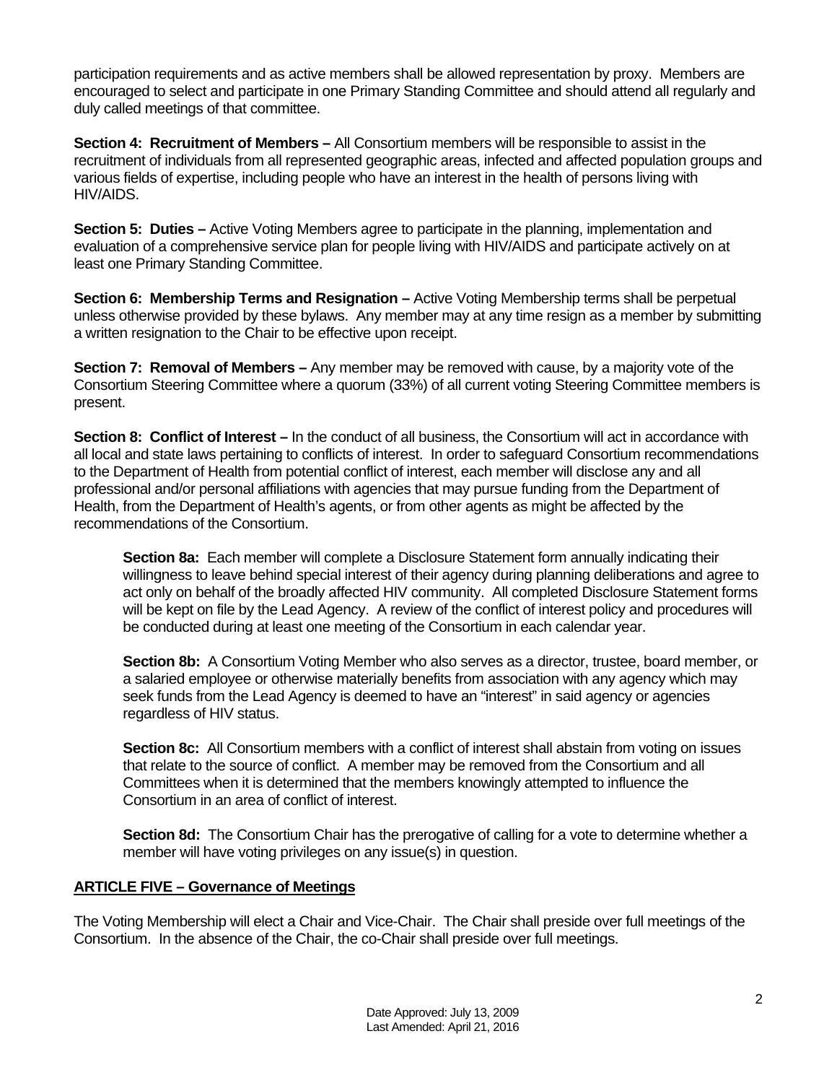participation requirements and as active members shall be allowed representation by proxy. Members are encouraged to select and participate in one Primary Standing Committee and should attend all regularly and duly called meetings of that committee.

**Section 4: Recruitment of Members –** All Consortium members will be responsible to assist in the recruitment of individuals from all represented geographic areas, infected and affected population groups and various fields of expertise, including people who have an interest in the health of persons living with HIV/AIDS.

**Section 5: Duties –** Active Voting Members agree to participate in the planning, implementation and evaluation of a comprehensive service plan for people living with HIV/AIDS and participate actively on at least one Primary Standing Committee.

**Section 6: Membership Terms and Resignation –** Active Voting Membership terms shall be perpetual unless otherwise provided by these bylaws. Any member may at any time resign as a member by submitting a written resignation to the Chair to be effective upon receipt.

**Section 7: Removal of Members –** Any member may be removed with cause, by a majority vote of the Consortium Steering Committee where a quorum (33%) of all current voting Steering Committee members is present.

**Section 8: Conflict of Interest** – In the conduct of all business, the Consortium will act in accordance with all local and state laws pertaining to conflicts of interest. In order to safeguard Consortium recommendations to the Department of Health from potential conflict of interest, each member will disclose any and all professional and/or personal affiliations with agencies that may pursue funding from the Department of Health, from the Department of Health's agents, or from other agents as might be affected by the recommendations of the Consortium.

**Section 8a:** Each member will complete a Disclosure Statement form annually indicating their willingness to leave behind special interest of their agency during planning deliberations and agree to act only on behalf of the broadly affected HIV community. All completed Disclosure Statement forms will be kept on file by the Lead Agency. A review of the conflict of interest policy and procedures will be conducted during at least one meeting of the Consortium in each calendar year.

**Section 8b:** A Consortium Voting Member who also serves as a director, trustee, board member, or a salaried employee or otherwise materially benefits from association with any agency which may seek funds from the Lead Agency is deemed to have an "interest" in said agency or agencies regardless of HIV status.

**Section 8c:** All Consortium members with a conflict of interest shall abstain from voting on issues that relate to the source of conflict. A member may be removed from the Consortium and all Committees when it is determined that the members knowingly attempted to influence the Consortium in an area of conflict of interest.

**Section 8d:** The Consortium Chair has the prerogative of calling for a vote to determine whether a member will have voting privileges on any issue(s) in question.

## **ARTICLE FIVE – Governance of Meetings**

The Voting Membership will elect a Chair and Vice-Chair. The Chair shall preside over full meetings of the Consortium. In the absence of the Chair, the co-Chair shall preside over full meetings.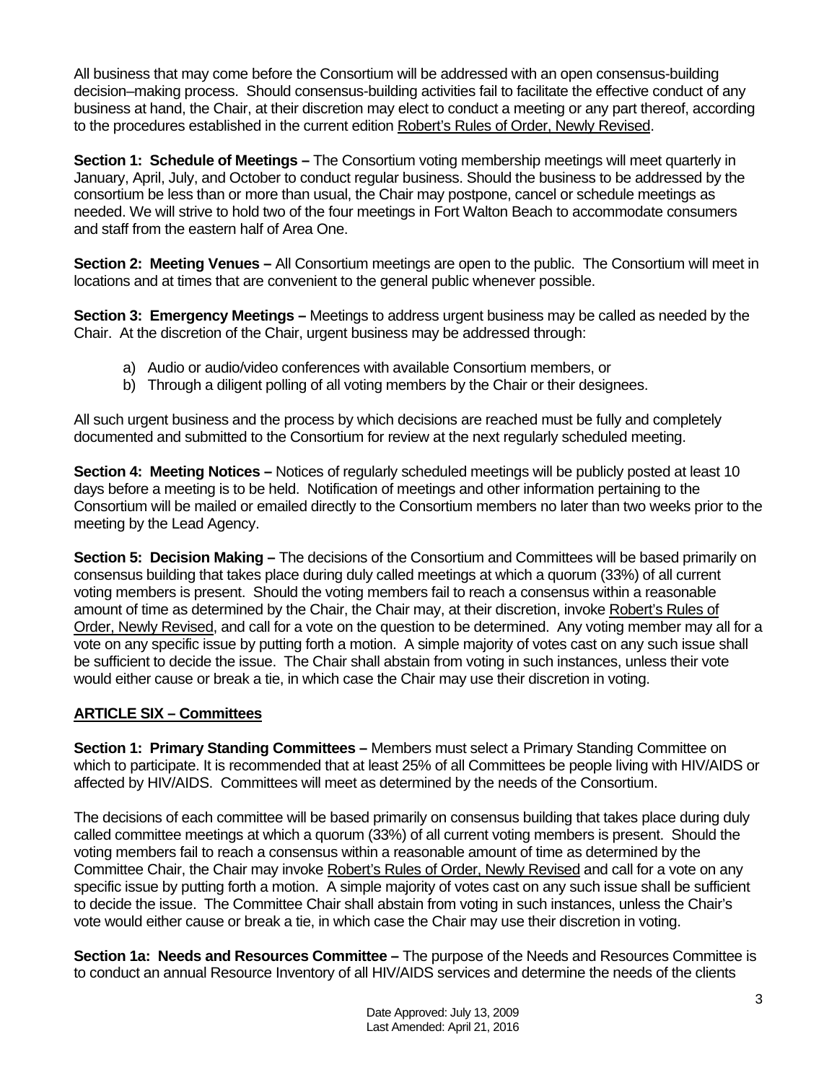All business that may come before the Consortium will be addressed with an open consensus-building decision–making process. Should consensus-building activities fail to facilitate the effective conduct of any business at hand, the Chair, at their discretion may elect to conduct a meeting or any part thereof, according to the procedures established in the current edition Robert's Rules of Order, Newly Revised.

**Section 1: Schedule of Meetings –** The Consortium voting membership meetings will meet quarterly in January, April, July, and October to conduct regular business. Should the business to be addressed by the consortium be less than or more than usual, the Chair may postpone, cancel or schedule meetings as needed. We will strive to hold two of the four meetings in Fort Walton Beach to accommodate consumers and staff from the eastern half of Area One.

**Section 2: Meeting Venues –** All Consortium meetings are open to the public. The Consortium will meet in locations and at times that are convenient to the general public whenever possible.

**Section 3: Emergency Meetings –** Meetings to address urgent business may be called as needed by the Chair. At the discretion of the Chair, urgent business may be addressed through:

- a) Audio or audio/video conferences with available Consortium members, or
- b) Through a diligent polling of all voting members by the Chair or their designees.

All such urgent business and the process by which decisions are reached must be fully and completely documented and submitted to the Consortium for review at the next regularly scheduled meeting.

**Section 4: Meeting Notices –** Notices of regularly scheduled meetings will be publicly posted at least 10 days before a meeting is to be held. Notification of meetings and other information pertaining to the Consortium will be mailed or emailed directly to the Consortium members no later than two weeks prior to the meeting by the Lead Agency.

**Section 5: Decision Making –** The decisions of the Consortium and Committees will be based primarily on consensus building that takes place during duly called meetings at which a quorum (33%) of all current voting members is present. Should the voting members fail to reach a consensus within a reasonable amount of time as determined by the Chair, the Chair may, at their discretion, invoke Robert's Rules of Order, Newly Revised, and call for a vote on the question to be determined. Any voting member may all for a vote on any specific issue by putting forth a motion. A simple majority of votes cast on any such issue shall be sufficient to decide the issue. The Chair shall abstain from voting in such instances, unless their vote would either cause or break a tie, in which case the Chair may use their discretion in voting.

## **ARTICLE SIX – Committees**

**Section 1: Primary Standing Committees –** Members must select a Primary Standing Committee on which to participate. It is recommended that at least 25% of all Committees be people living with HIV/AIDS or affected by HIV/AIDS. Committees will meet as determined by the needs of the Consortium.

The decisions of each committee will be based primarily on consensus building that takes place during duly called committee meetings at which a quorum (33%) of all current voting members is present. Should the voting members fail to reach a consensus within a reasonable amount of time as determined by the Committee Chair, the Chair may invoke Robert's Rules of Order, Newly Revised and call for a vote on any specific issue by putting forth a motion. A simple majority of votes cast on any such issue shall be sufficient to decide the issue. The Committee Chair shall abstain from voting in such instances, unless the Chair's vote would either cause or break a tie, in which case the Chair may use their discretion in voting.

**Section 1a: Needs and Resources Committee –** The purpose of the Needs and Resources Committee is to conduct an annual Resource Inventory of all HIV/AIDS services and determine the needs of the clients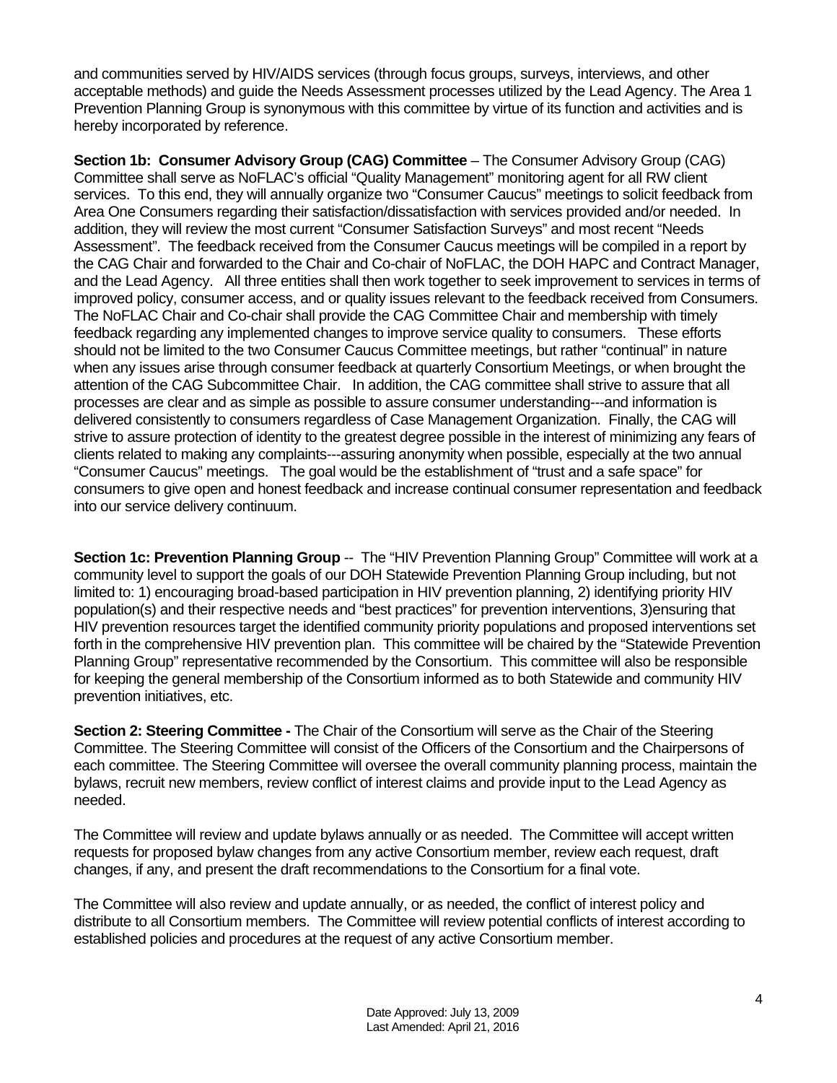and communities served by HIV/AIDS services (through focus groups, surveys, interviews, and other acceptable methods) and guide the Needs Assessment processes utilized by the Lead Agency. The Area 1 Prevention Planning Group is synonymous with this committee by virtue of its function and activities and is hereby incorporated by reference.

**Section 1b: Consumer Advisory Group (CAG) Committee** – The Consumer Advisory Group (CAG) Committee shall serve as NoFLAC's official "Quality Management" monitoring agent for all RW client services. To this end, they will annually organize two "Consumer Caucus" meetings to solicit feedback from Area One Consumers regarding their satisfaction/dissatisfaction with services provided and/or needed. In addition, they will review the most current "Consumer Satisfaction Surveys" and most recent "Needs Assessment". The feedback received from the Consumer Caucus meetings will be compiled in a report by the CAG Chair and forwarded to the Chair and Co-chair of NoFLAC, the DOH HAPC and Contract Manager, and the Lead Agency. All three entities shall then work together to seek improvement to services in terms of improved policy, consumer access, and or quality issues relevant to the feedback received from Consumers. The NoFLAC Chair and Co-chair shall provide the CAG Committee Chair and membership with timely feedback regarding any implemented changes to improve service quality to consumers. These efforts should not be limited to the two Consumer Caucus Committee meetings, but rather "continual" in nature when any issues arise through consumer feedback at quarterly Consortium Meetings, or when brought the attention of the CAG Subcommittee Chair. In addition, the CAG committee shall strive to assure that all processes are clear and as simple as possible to assure consumer understanding---and information is delivered consistently to consumers regardless of Case Management Organization. Finally, the CAG will strive to assure protection of identity to the greatest degree possible in the interest of minimizing any fears of clients related to making any complaints---assuring anonymity when possible, especially at the two annual "Consumer Caucus" meetings. The goal would be the establishment of "trust and a safe space" for consumers to give open and honest feedback and increase continual consumer representation and feedback into our service delivery continuum.

**Section 1c: Prevention Planning Group --** The "HIV Prevention Planning Group" Committee will work at a community level to support the goals of our DOH Statewide Prevention Planning Group including, but not limited to: 1) encouraging broad-based participation in HIV prevention planning, 2) identifying priority HIV population(s) and their respective needs and "best practices" for prevention interventions, 3)ensuring that HIV prevention resources target the identified community priority populations and proposed interventions set forth in the comprehensive HIV prevention plan. This committee will be chaired by the "Statewide Prevention Planning Group" representative recommended by the Consortium. This committee will also be responsible for keeping the general membership of the Consortium informed as to both Statewide and community HIV prevention initiatives, etc.

**Section 2: Steering Committee -** The Chair of the Consortium will serve as the Chair of the Steering Committee. The Steering Committee will consist of the Officers of the Consortium and the Chairpersons of each committee. The Steering Committee will oversee the overall community planning process, maintain the bylaws, recruit new members, review conflict of interest claims and provide input to the Lead Agency as needed.

The Committee will review and update bylaws annually or as needed. The Committee will accept written requests for proposed bylaw changes from any active Consortium member, review each request, draft changes, if any, and present the draft recommendations to the Consortium for a final vote.

The Committee will also review and update annually, or as needed, the conflict of interest policy and distribute to all Consortium members. The Committee will review potential conflicts of interest according to established policies and procedures at the request of any active Consortium member.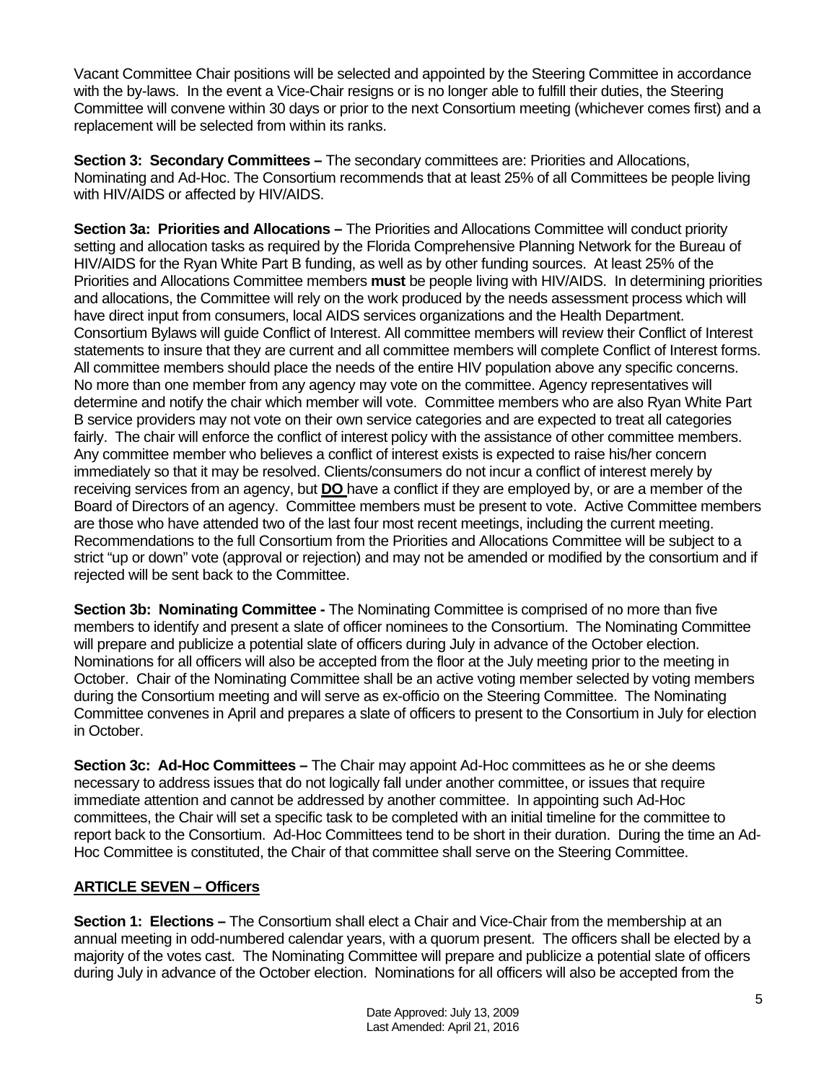Vacant Committee Chair positions will be selected and appointed by the Steering Committee in accordance with the by-laws. In the event a Vice-Chair resigns or is no longer able to fulfill their duties, the Steering Committee will convene within 30 days or prior to the next Consortium meeting (whichever comes first) and a replacement will be selected from within its ranks.

**Section 3: Secondary Committees –** The secondary committees are: Priorities and Allocations, Nominating and Ad-Hoc. The Consortium recommends that at least 25% of all Committees be people living with HIV/AIDS or affected by HIV/AIDS.

**Section 3a: Priorities and Allocations –** The Priorities and Allocations Committee will conduct priority setting and allocation tasks as required by the Florida Comprehensive Planning Network for the Bureau of HIV/AIDS for the Ryan White Part B funding, as well as by other funding sources. At least 25% of the Priorities and Allocations Committee members **must** be people living with HIV/AIDS. In determining priorities and allocations, the Committee will rely on the work produced by the needs assessment process which will have direct input from consumers, local AIDS services organizations and the Health Department. Consortium Bylaws will guide Conflict of Interest. All committee members will review their Conflict of Interest statements to insure that they are current and all committee members will complete Conflict of Interest forms. All committee members should place the needs of the entire HIV population above any specific concerns. No more than one member from any agency may vote on the committee. Agency representatives will determine and notify the chair which member will vote. Committee members who are also Ryan White Part B service providers may not vote on their own service categories and are expected to treat all categories fairly. The chair will enforce the conflict of interest policy with the assistance of other committee members. Any committee member who believes a conflict of interest exists is expected to raise his/her concern immediately so that it may be resolved. Clients/consumers do not incur a conflict of interest merely by receiving services from an agency, but **DO** have a conflict if they are employed by, or are a member of the Board of Directors of an agency. Committee members must be present to vote. Active Committee members are those who have attended two of the last four most recent meetings, including the current meeting. Recommendations to the full Consortium from the Priorities and Allocations Committee will be subject to a strict "up or down" vote (approval or rejection) and may not be amended or modified by the consortium and if rejected will be sent back to the Committee.

**Section 3b: Nominating Committee -** The Nominating Committee is comprised of no more than five members to identify and present a slate of officer nominees to the Consortium. The Nominating Committee will prepare and publicize a potential slate of officers during July in advance of the October election. Nominations for all officers will also be accepted from the floor at the July meeting prior to the meeting in October. Chair of the Nominating Committee shall be an active voting member selected by voting members during the Consortium meeting and will serve as ex-officio on the Steering Committee. The Nominating Committee convenes in April and prepares a slate of officers to present to the Consortium in July for election in October.

**Section 3c: Ad-Hoc Committees –** The Chair may appoint Ad-Hoc committees as he or she deems necessary to address issues that do not logically fall under another committee, or issues that require immediate attention and cannot be addressed by another committee. In appointing such Ad-Hoc committees, the Chair will set a specific task to be completed with an initial timeline for the committee to report back to the Consortium. Ad-Hoc Committees tend to be short in their duration. During the time an Ad-Hoc Committee is constituted, the Chair of that committee shall serve on the Steering Committee.

## **ARTICLE SEVEN – Officers**

**Section 1: Elections –** The Consortium shall elect a Chair and Vice-Chair from the membership at an annual meeting in odd-numbered calendar years, with a quorum present. The officers shall be elected by a majority of the votes cast. The Nominating Committee will prepare and publicize a potential slate of officers during July in advance of the October election. Nominations for all officers will also be accepted from the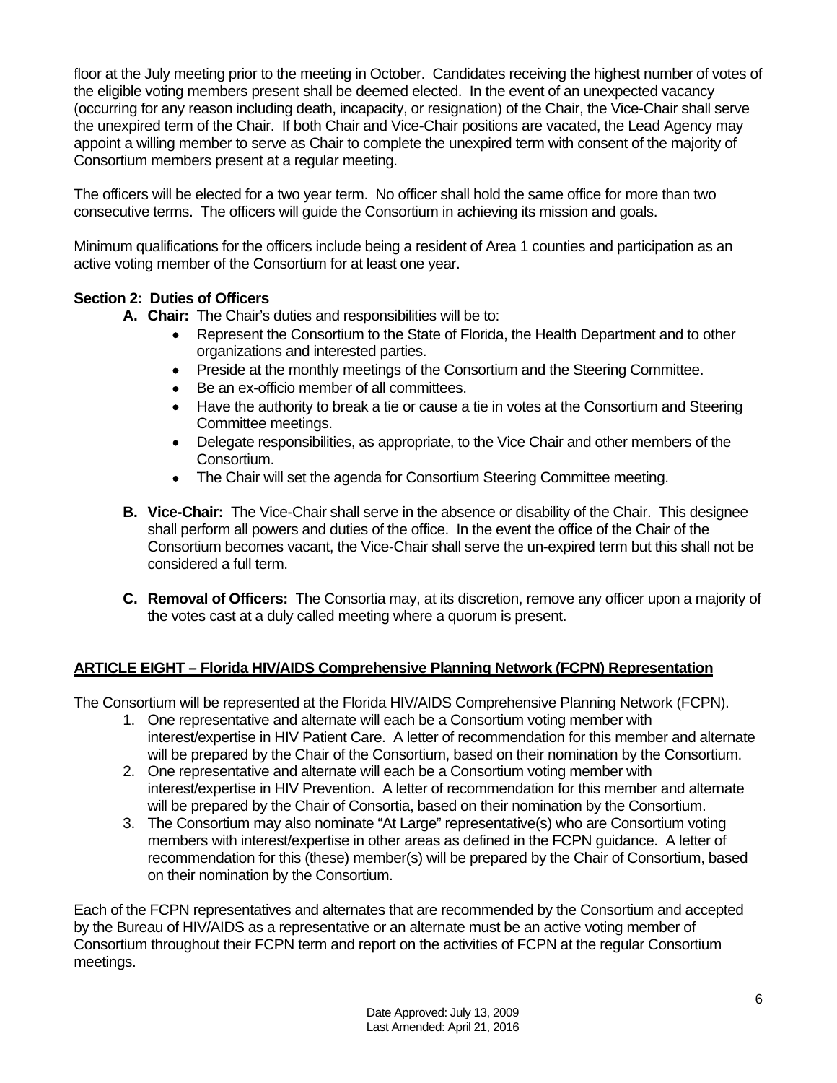floor at the July meeting prior to the meeting in October. Candidates receiving the highest number of votes of the eligible voting members present shall be deemed elected. In the event of an unexpected vacancy (occurring for any reason including death, incapacity, or resignation) of the Chair, the Vice-Chair shall serve the unexpired term of the Chair. If both Chair and Vice-Chair positions are vacated, the Lead Agency may appoint a willing member to serve as Chair to complete the unexpired term with consent of the majority of Consortium members present at a regular meeting.

The officers will be elected for a two year term. No officer shall hold the same office for more than two consecutive terms. The officers will guide the Consortium in achieving its mission and goals.

Minimum qualifications for the officers include being a resident of Area 1 counties and participation as an active voting member of the Consortium for at least one year.

## **Section 2: Duties of Officers**

- **A. Chair:** The Chair's duties and responsibilities will be to:
	- Represent the Consortium to the State of Florida, the Health Department and to other organizations and interested parties.
	- Preside at the monthly meetings of the Consortium and the Steering Committee.
	- Be an ex-officio member of all committees.
	- Have the authority to break a tie or cause a tie in votes at the Consortium and Steering Committee meetings.
	- Delegate responsibilities, as appropriate, to the Vice Chair and other members of the Consortium.
	- The Chair will set the agenda for Consortium Steering Committee meeting.
- **B. Vice-Chair:** The Vice-Chair shall serve in the absence or disability of the Chair. This designee shall perform all powers and duties of the office. In the event the office of the Chair of the Consortium becomes vacant, the Vice-Chair shall serve the un-expired term but this shall not be considered a full term.
- **C. Removal of Officers:** The Consortia may, at its discretion, remove any officer upon a majority of the votes cast at a duly called meeting where a quorum is present.

## **ARTICLE EIGHT – Florida HIV/AIDS Comprehensive Planning Network (FCPN) Representation**

The Consortium will be represented at the Florida HIV/AIDS Comprehensive Planning Network (FCPN).

- 1. One representative and alternate will each be a Consortium voting member with interest/expertise in HIV Patient Care. A letter of recommendation for this member and alternate will be prepared by the Chair of the Consortium, based on their nomination by the Consortium.
- 2. One representative and alternate will each be a Consortium voting member with interest/expertise in HIV Prevention. A letter of recommendation for this member and alternate will be prepared by the Chair of Consortia, based on their nomination by the Consortium.
- 3. The Consortium may also nominate "At Large" representative(s) who are Consortium voting members with interest/expertise in other areas as defined in the FCPN guidance. A letter of recommendation for this (these) member(s) will be prepared by the Chair of Consortium, based on their nomination by the Consortium.

Each of the FCPN representatives and alternates that are recommended by the Consortium and accepted by the Bureau of HIV/AIDS as a representative or an alternate must be an active voting member of Consortium throughout their FCPN term and report on the activities of FCPN at the regular Consortium meetings.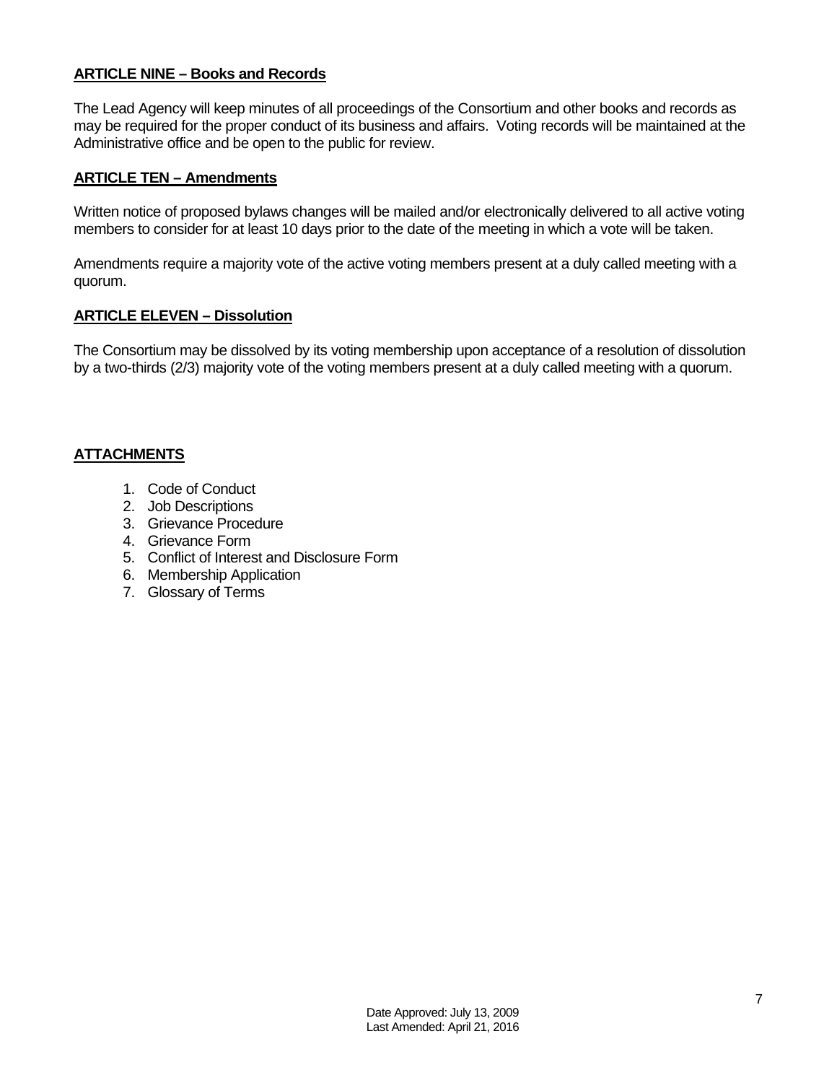## **ARTICLE NINE – Books and Records**

The Lead Agency will keep minutes of all proceedings of the Consortium and other books and records as may be required for the proper conduct of its business and affairs. Voting records will be maintained at the Administrative office and be open to the public for review.

## **ARTICLE TEN – Amendments**

Written notice of proposed bylaws changes will be mailed and/or electronically delivered to all active voting members to consider for at least 10 days prior to the date of the meeting in which a vote will be taken.

Amendments require a majority vote of the active voting members present at a duly called meeting with a quorum.

## **ARTICLE ELEVEN – Dissolution**

The Consortium may be dissolved by its voting membership upon acceptance of a resolution of dissolution by a two-thirds (2/3) majority vote of the voting members present at a duly called meeting with a quorum.

## **ATTACHMENTS**

- 1. Code of Conduct
- 2. Job Descriptions
- 3. Grievance Procedure
- 4. Grievance Form
- 5. Conflict of Interest and Disclosure Form
- 6. Membership Application
- 7. Glossary of Terms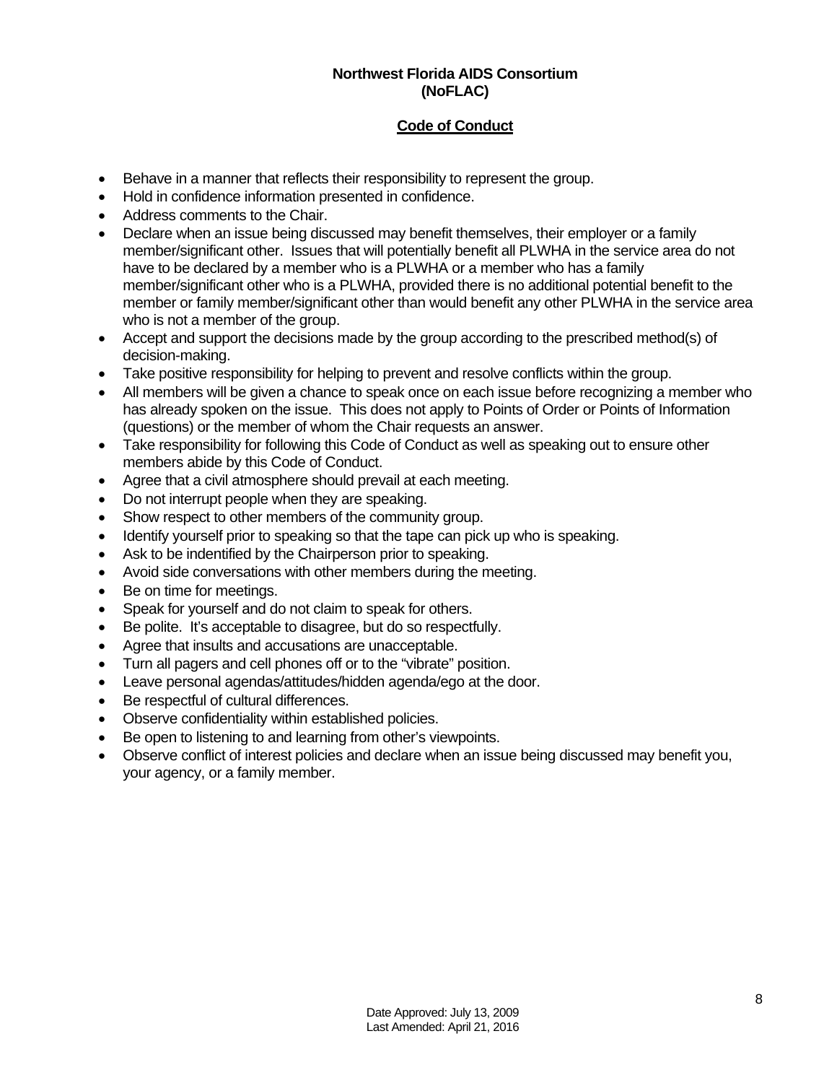## **Northwest Florida AIDS Consortium (NoFLAC)**

## **Code of Conduct**

- Behave in a manner that reflects their responsibility to represent the group.
- Hold in confidence information presented in confidence.
- Address comments to the Chair.
- Declare when an issue being discussed may benefit themselves, their employer or a family member/significant other. Issues that will potentially benefit all PLWHA in the service area do not have to be declared by a member who is a PLWHA or a member who has a family member/significant other who is a PLWHA, provided there is no additional potential benefit to the member or family member/significant other than would benefit any other PLWHA in the service area who is not a member of the group.
- Accept and support the decisions made by the group according to the prescribed method(s) of decision-making.
- Take positive responsibility for helping to prevent and resolve conflicts within the group.
- All members will be given a chance to speak once on each issue before recognizing a member who has already spoken on the issue. This does not apply to Points of Order or Points of Information (questions) or the member of whom the Chair requests an answer.
- Take responsibility for following this Code of Conduct as well as speaking out to ensure other members abide by this Code of Conduct.
- Agree that a civil atmosphere should prevail at each meeting.
- Do not interrupt people when they are speaking.
- Show respect to other members of the community group.
- Identify yourself prior to speaking so that the tape can pick up who is speaking.
- Ask to be indentified by the Chairperson prior to speaking.
- Avoid side conversations with other members during the meeting.
- Be on time for meetings.
- Speak for yourself and do not claim to speak for others.
- Be polite. It's acceptable to disagree, but do so respectfully.
- Agree that insults and accusations are unacceptable.
- Turn all pagers and cell phones off or to the "vibrate" position.
- Leave personal agendas/attitudes/hidden agenda/ego at the door.
- Be respectful of cultural differences.
- Observe confidentiality within established policies.
- Be open to listening to and learning from other's viewpoints.
- Observe conflict of interest policies and declare when an issue being discussed may benefit you, your agency, or a family member.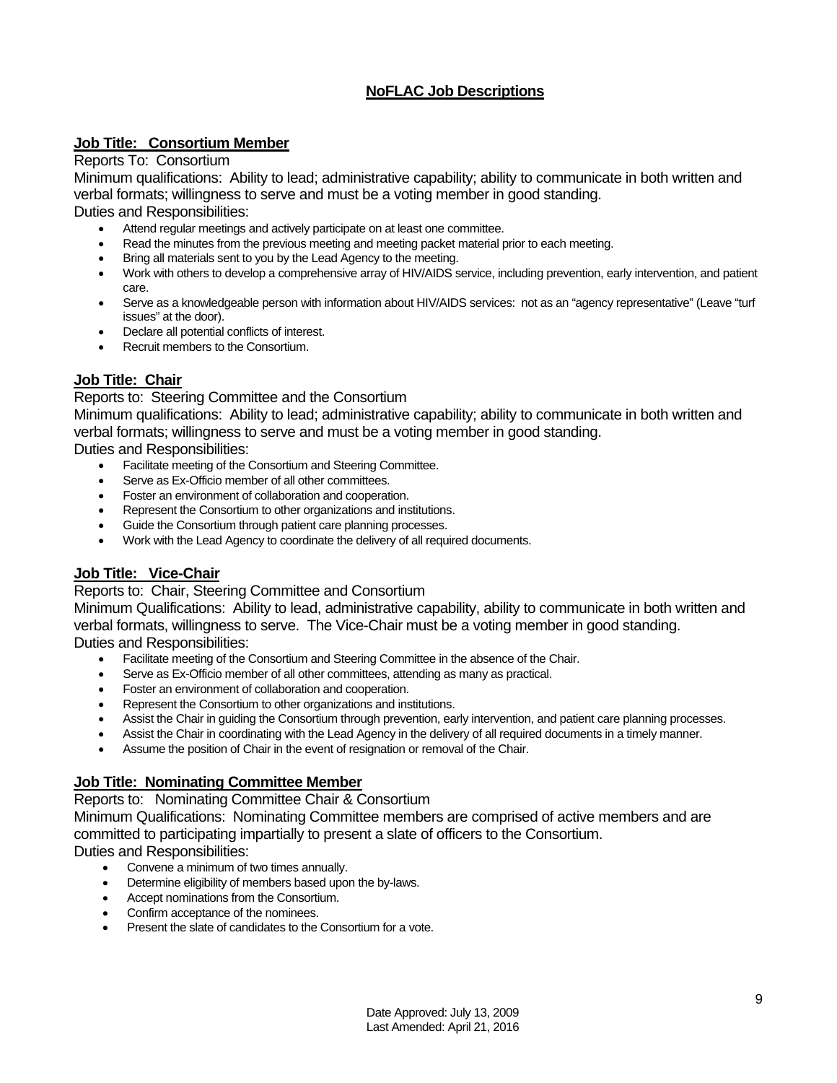## **NoFLAC Job Descriptions**

## **Job Title: Consortium Member**

#### Reports To: Consortium

Minimum qualifications: Ability to lead; administrative capability; ability to communicate in both written and verbal formats; willingness to serve and must be a voting member in good standing.

Duties and Responsibilities:

- Attend regular meetings and actively participate on at least one committee.
- Read the minutes from the previous meeting and meeting packet material prior to each meeting.
- Bring all materials sent to you by the Lead Agency to the meeting.
- Work with others to develop a comprehensive array of HIV/AIDS service, including prevention, early intervention, and patient care.
- Serve as a knowledgeable person with information about HIV/AIDS services: not as an "agency representative" (Leave "turf issues" at the door).
- Declare all potential conflicts of interest.
- Recruit members to the Consortium.

## **Job Title: Chair**

## Reports to: Steering Committee and the Consortium

Minimum qualifications: Ability to lead; administrative capability; ability to communicate in both written and verbal formats; willingness to serve and must be a voting member in good standing.

Duties and Responsibilities:

- Facilitate meeting of the Consortium and Steering Committee.
- Serve as Ex-Officio member of all other committees.
- Foster an environment of collaboration and cooperation.
- Represent the Consortium to other organizations and institutions.
- Guide the Consortium through patient care planning processes.
- Work with the Lead Agency to coordinate the delivery of all required documents.

## **Job Title: Vice-Chair**

## Reports to: Chair, Steering Committee and Consortium

Minimum Qualifications: Ability to lead, administrative capability, ability to communicate in both written and verbal formats, willingness to serve. The Vice-Chair must be a voting member in good standing. Duties and Responsibilities:

- Facilitate meeting of the Consortium and Steering Committee in the absence of the Chair.
- Serve as Ex-Officio member of all other committees, attending as many as practical.
- Foster an environment of collaboration and cooperation.
- Represent the Consortium to other organizations and institutions.
- Assist the Chair in guiding the Consortium through prevention, early intervention, and patient care planning processes.
- Assist the Chair in coordinating with the Lead Agency in the delivery of all required documents in a timely manner.
- Assume the position of Chair in the event of resignation or removal of the Chair.

## **Job Title: Nominating Committee Member**

Reports to: Nominating Committee Chair & Consortium

Minimum Qualifications: Nominating Committee members are comprised of active members and are committed to participating impartially to present a slate of officers to the Consortium.

Duties and Responsibilities:

- Convene a minimum of two times annually.
- Determine eligibility of members based upon the by-laws.
- Accept nominations from the Consortium.
- Confirm acceptance of the nominees.
- Present the slate of candidates to the Consortium for a vote.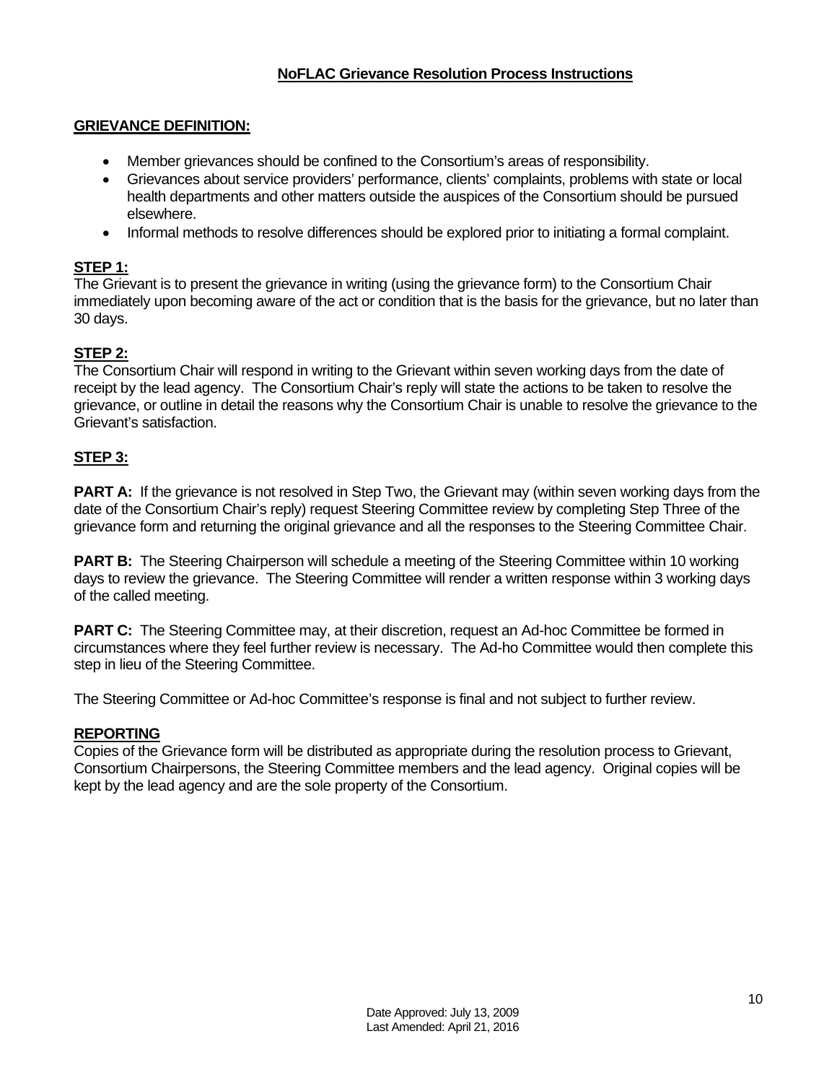## **NoFLAC Grievance Resolution Process Instructions**

## **GRIEVANCE DEFINITION:**

- Member grievances should be confined to the Consortium's areas of responsibility.
- Grievances about service providers' performance, clients' complaints, problems with state or local health departments and other matters outside the auspices of the Consortium should be pursued elsewhere.
- Informal methods to resolve differences should be explored prior to initiating a formal complaint.

## **STEP 1:**

The Grievant is to present the grievance in writing (using the grievance form) to the Consortium Chair immediately upon becoming aware of the act or condition that is the basis for the grievance, but no later than 30 days.

## **STEP 2:**

The Consortium Chair will respond in writing to the Grievant within seven working days from the date of receipt by the lead agency. The Consortium Chair's reply will state the actions to be taken to resolve the grievance, or outline in detail the reasons why the Consortium Chair is unable to resolve the grievance to the Grievant's satisfaction.

## **STEP 3:**

**PART A:** If the grievance is not resolved in Step Two, the Grievant may (within seven working days from the date of the Consortium Chair's reply) request Steering Committee review by completing Step Three of the grievance form and returning the original grievance and all the responses to the Steering Committee Chair.

**PART B:** The Steering Chairperson will schedule a meeting of the Steering Committee within 10 working days to review the grievance. The Steering Committee will render a written response within 3 working days of the called meeting.

**PART C:** The Steering Committee may, at their discretion, request an Ad-hoc Committee be formed in circumstances where they feel further review is necessary. The Ad-ho Committee would then complete this step in lieu of the Steering Committee.

The Steering Committee or Ad-hoc Committee's response is final and not subject to further review.

## **REPORTING**

Copies of the Grievance form will be distributed as appropriate during the resolution process to Grievant, Consortium Chairpersons, the Steering Committee members and the lead agency. Original copies will be kept by the lead agency and are the sole property of the Consortium.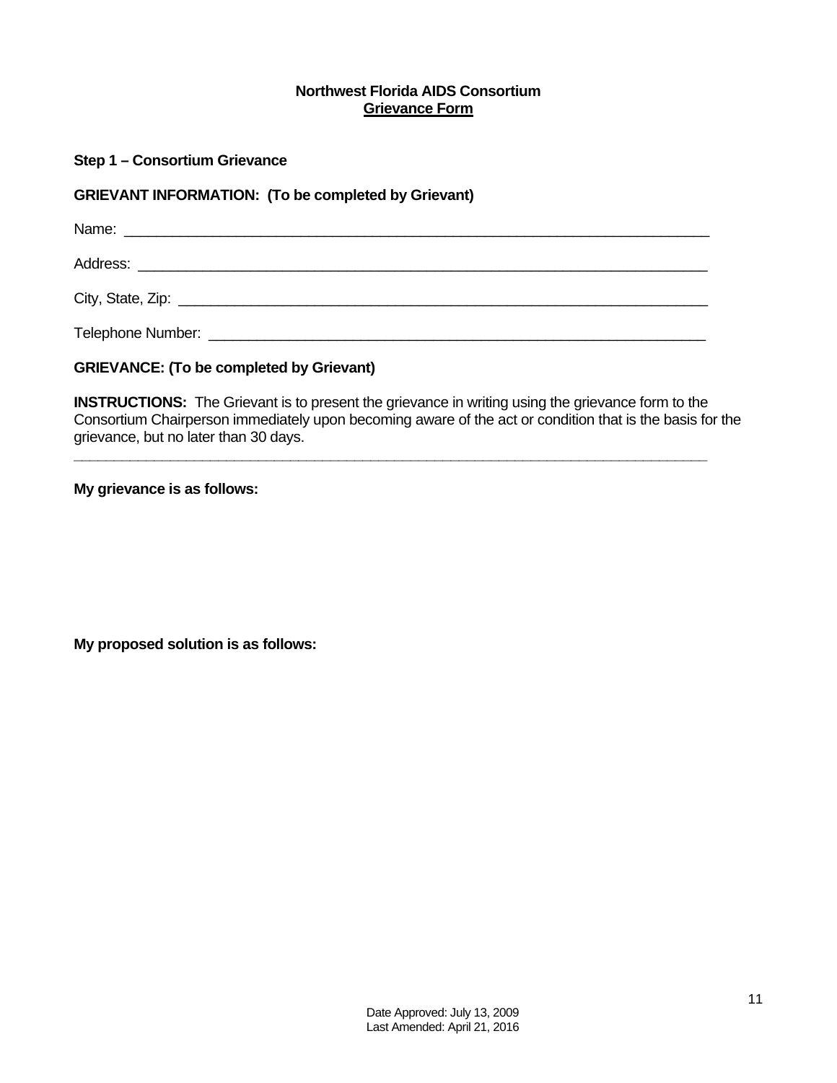## **Northwest Florida AIDS Consortium Grievance Form**

## **Step 1 – Consortium Grievance**

## **GRIEVANT INFORMATION: (To be completed by Grievant)**

Name: \_\_\_\_\_\_\_\_\_\_\_\_\_\_\_\_\_\_\_\_\_\_\_\_\_\_\_\_\_\_\_\_\_\_\_\_\_\_\_\_\_\_\_\_\_\_\_\_\_\_\_\_\_\_\_\_\_\_\_\_\_\_\_\_\_\_\_\_\_\_\_\_\_ Address: \_\_\_\_\_\_\_\_\_\_\_\_\_\_\_\_\_\_\_\_\_\_\_\_\_\_\_\_\_\_\_\_\_\_\_\_\_\_\_\_\_\_\_\_\_\_\_\_\_\_\_\_\_\_\_\_\_\_\_\_\_\_\_\_\_\_\_\_\_\_\_

City, State, Zip: \_\_\_\_\_\_\_\_\_\_\_\_\_\_\_\_\_\_\_\_\_\_\_\_\_\_\_\_\_\_\_\_\_\_\_\_\_\_\_\_\_\_\_\_\_\_\_\_\_\_\_\_\_\_\_\_\_\_\_\_\_\_\_\_\_\_

Telephone Number: \_\_\_\_\_\_\_\_\_\_\_\_\_\_\_\_\_\_\_\_\_\_\_\_\_\_\_\_\_\_\_\_\_\_\_\_\_\_\_\_\_\_\_\_\_\_\_\_\_\_\_\_\_\_\_\_\_\_\_\_\_\_

## **GRIEVANCE: (To be completed by Grievant)**

**INSTRUCTIONS:** The Grievant is to present the grievance in writing using the grievance form to the Consortium Chairperson immediately upon becoming aware of the act or condition that is the basis for the grievance, but no later than 30 days.

**\_\_\_\_\_\_\_\_\_\_\_\_\_\_\_\_\_\_\_\_\_\_\_\_\_\_\_\_\_\_\_\_\_\_\_\_\_\_\_\_\_\_\_\_\_\_\_\_\_\_\_\_\_\_\_\_\_\_\_\_\_\_\_\_\_\_\_\_\_\_\_\_\_\_\_\_\_\_\_** 

## **My grievance is as follows:**

**My proposed solution is as follows:**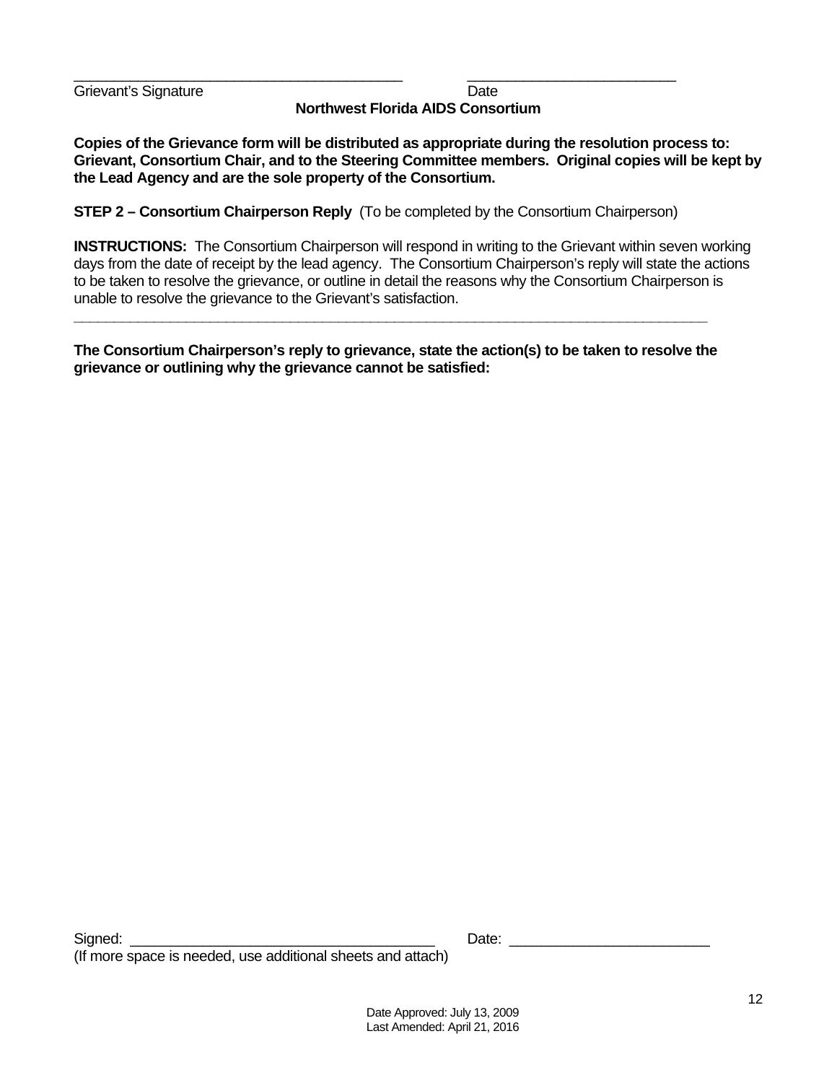Grievant's Signature **Date** Date **Northwest Florida AIDS Consortium** 

**Copies of the Grievance form will be distributed as appropriate during the resolution process to: Grievant, Consortium Chair, and to the Steering Committee members. Original copies will be kept by the Lead Agency and are the sole property of the Consortium.** 

**STEP 2 – Consortium Chairperson Reply** (To be completed by the Consortium Chairperson)

\_\_\_\_\_\_\_\_\_\_\_\_\_\_\_\_\_\_\_\_\_\_\_\_\_\_\_\_\_\_\_\_\_\_\_\_\_\_\_\_\_ \_\_\_\_\_\_\_\_\_\_\_\_\_\_\_\_\_\_\_\_\_\_\_\_\_\_

**INSTRUCTIONS:** The Consortium Chairperson will respond in writing to the Grievant within seven working days from the date of receipt by the lead agency. The Consortium Chairperson's reply will state the actions to be taken to resolve the grievance, or outline in detail the reasons why the Consortium Chairperson is unable to resolve the grievance to the Grievant's satisfaction.

**The Consortium Chairperson's reply to grievance, state the action(s) to be taken to resolve the grievance or outlining why the grievance cannot be satisfied:** 

**\_\_\_\_\_\_\_\_\_\_\_\_\_\_\_\_\_\_\_\_\_\_\_\_\_\_\_\_\_\_\_\_\_\_\_\_\_\_\_\_\_\_\_\_\_\_\_\_\_\_\_\_\_\_\_\_\_\_\_\_\_\_\_\_\_\_\_\_\_\_\_\_\_\_\_\_\_\_\_**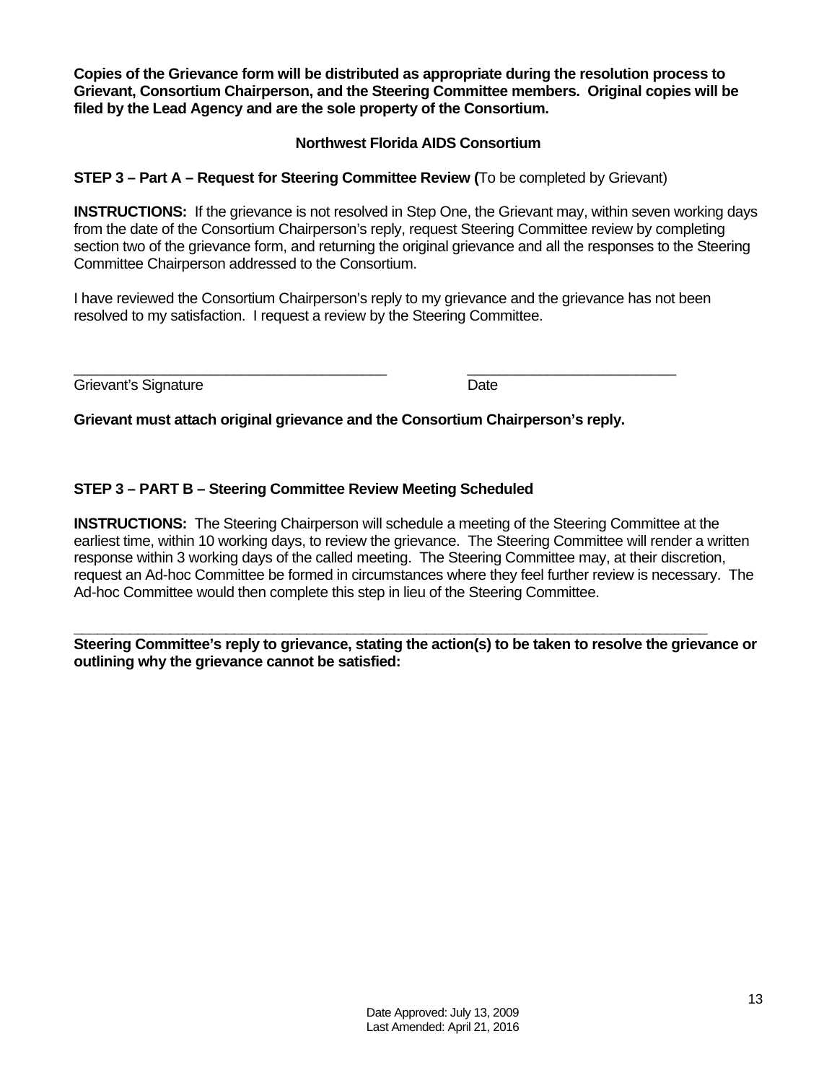**Copies of the Grievance form will be distributed as appropriate during the resolution process to Grievant, Consortium Chairperson, and the Steering Committee members. Original copies will be filed by the Lead Agency and are the sole property of the Consortium.** 

## **Northwest Florida AIDS Consortium**

## **STEP 3 – Part A – Request for Steering Committee Review (**To be completed by Grievant)

**INSTRUCTIONS:** If the grievance is not resolved in Step One, the Grievant may, within seven working days from the date of the Consortium Chairperson's reply, request Steering Committee review by completing section two of the grievance form, and returning the original grievance and all the responses to the Steering Committee Chairperson addressed to the Consortium.

I have reviewed the Consortium Chairperson's reply to my grievance and the grievance has not been resolved to my satisfaction. I request a review by the Steering Committee.

 $\overline{\phantom{a}}$  , and the contribution of the contribution of the contribution of the contribution of the contribution of the contribution of the contribution of the contribution of the contribution of the contribution of the Grievant's Signature **Date** 

**Grievant must attach original grievance and the Consortium Chairperson's reply.** 

## **STEP 3 – PART B – Steering Committee Review Meeting Scheduled**

**INSTRUCTIONS:** The Steering Chairperson will schedule a meeting of the Steering Committee at the earliest time, within 10 working days, to review the grievance. The Steering Committee will render a written response within 3 working days of the called meeting. The Steering Committee may, at their discretion, request an Ad-hoc Committee be formed in circumstances where they feel further review is necessary. The Ad-hoc Committee would then complete this step in lieu of the Steering Committee.

**Steering Committee's reply to grievance, stating the action(s) to be taken to resolve the grievance or outlining why the grievance cannot be satisfied:** 

**\_\_\_\_\_\_\_\_\_\_\_\_\_\_\_\_\_\_\_\_\_\_\_\_\_\_\_\_\_\_\_\_\_\_\_\_\_\_\_\_\_\_\_\_\_\_\_\_\_\_\_\_\_\_\_\_\_\_\_\_\_\_\_\_\_\_\_\_\_\_\_\_\_\_\_\_\_\_\_**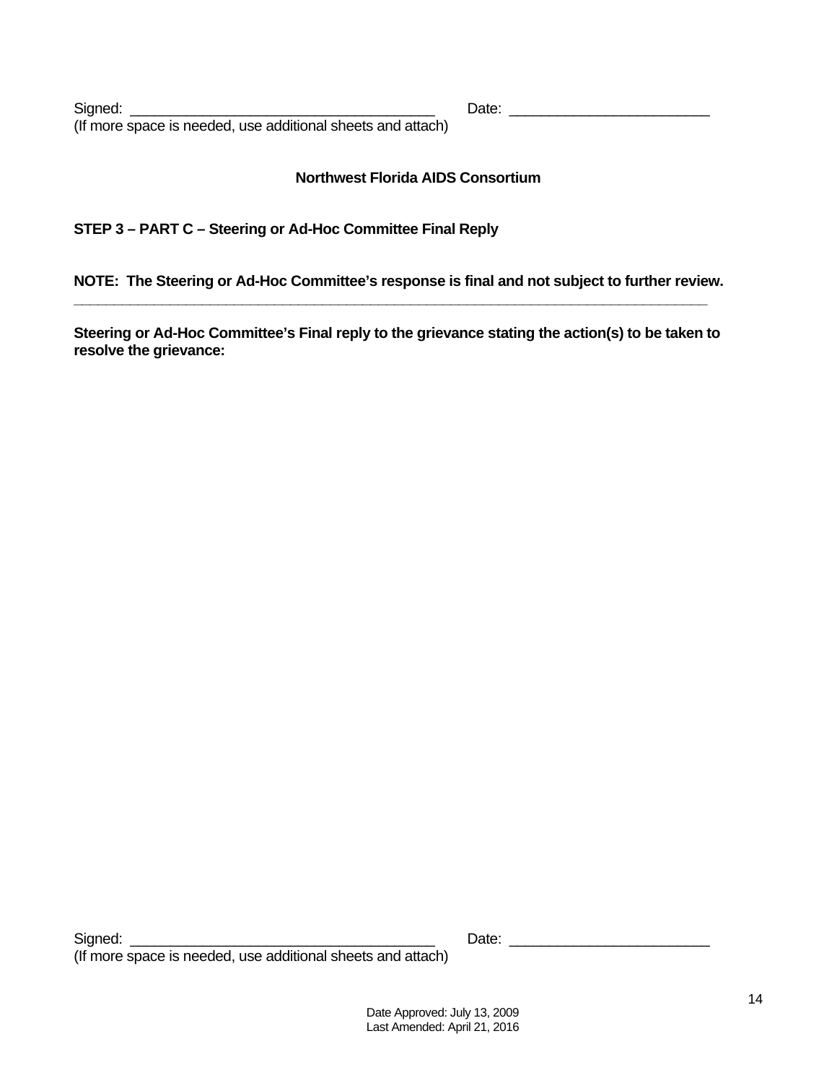Signed: \_\_\_\_\_\_\_\_\_\_\_\_\_\_\_\_\_\_\_\_\_\_\_\_\_\_\_\_\_\_\_\_\_\_\_\_\_\_ Date: \_\_\_\_\_\_\_\_\_\_\_\_\_\_\_\_\_\_\_\_\_\_\_\_\_ (If more space is needed, use additional sheets and attach)

## **Northwest Florida AIDS Consortium**

## **STEP 3 – PART C – Steering or Ad-Hoc Committee Final Reply**

**NOTE: The Steering or Ad-Hoc Committee's response is final and not subject to further review. \_\_\_\_\_\_\_\_\_\_\_\_\_\_\_\_\_\_\_\_\_\_\_\_\_\_\_\_\_\_\_\_\_\_\_\_\_\_\_\_\_\_\_\_\_\_\_\_\_\_\_\_\_\_\_\_\_\_\_\_\_\_\_\_\_\_\_\_\_\_\_\_\_\_\_\_\_\_\_** 

**Steering or Ad-Hoc Committee's Final reply to the grievance stating the action(s) to be taken to resolve the grievance:**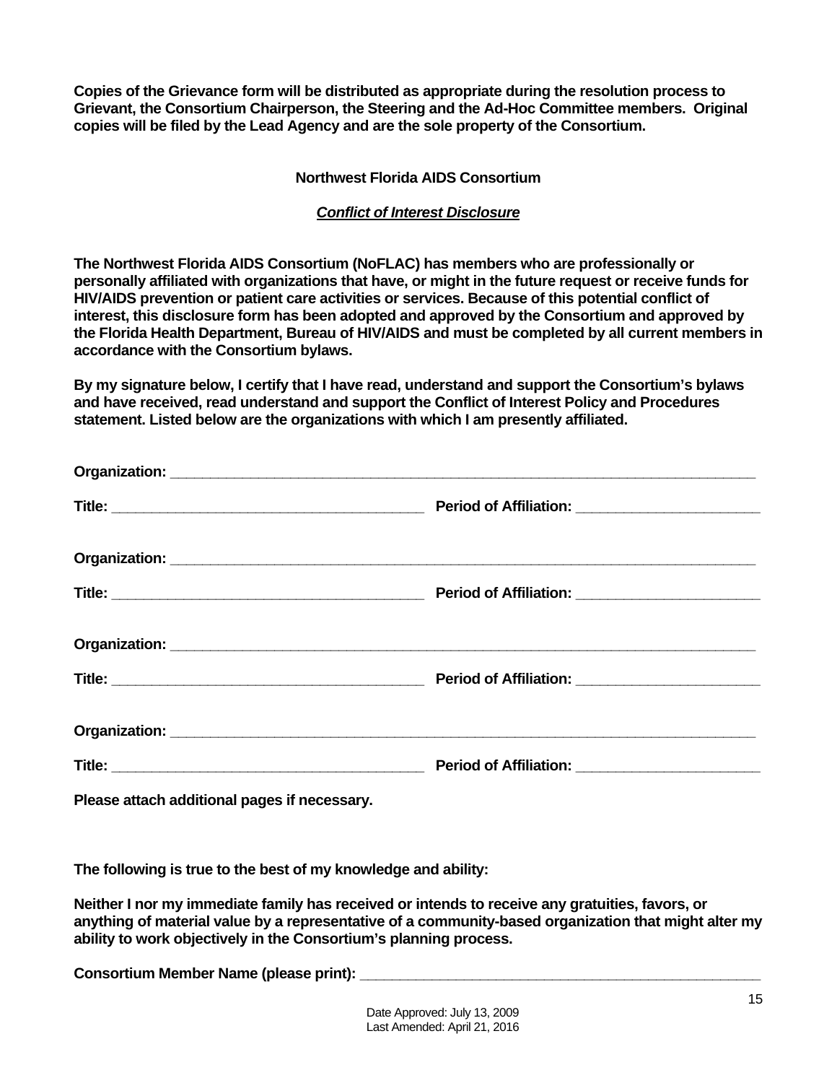**Copies of the Grievance form will be distributed as appropriate during the resolution process to Grievant, the Consortium Chairperson, the Steering and the Ad-Hoc Committee members. Original copies will be filed by the Lead Agency and are the sole property of the Consortium.** 

## **Northwest Florida AIDS Consortium**

## *Conflict of Interest Disclosure*

**The Northwest Florida AIDS Consortium (NoFLAC) has members who are professionally or personally affiliated with organizations that have, or might in the future request or receive funds for HIV/AIDS prevention or patient care activities or services. Because of this potential conflict of interest, this disclosure form has been adopted and approved by the Consortium and approved by the Florida Health Department, Bureau of HIV/AIDS and must be completed by all current members in accordance with the Consortium bylaws.** 

**By my signature below, I certify that I have read, understand and support the Consortium's bylaws and have received, read understand and support the Conflict of Interest Policy and Procedures statement. Listed below are the organizations with which I am presently affiliated.** 

| Please attach additional pages if necessary. |  |
|----------------------------------------------|--|

**The following is true to the best of my knowledge and ability:** 

**Neither I nor my immediate family has received or intends to receive any gratuities, favors, or anything of material value by a representative of a community-based organization that might alter my ability to work objectively in the Consortium's planning process.** 

Consortium Member Name (please print):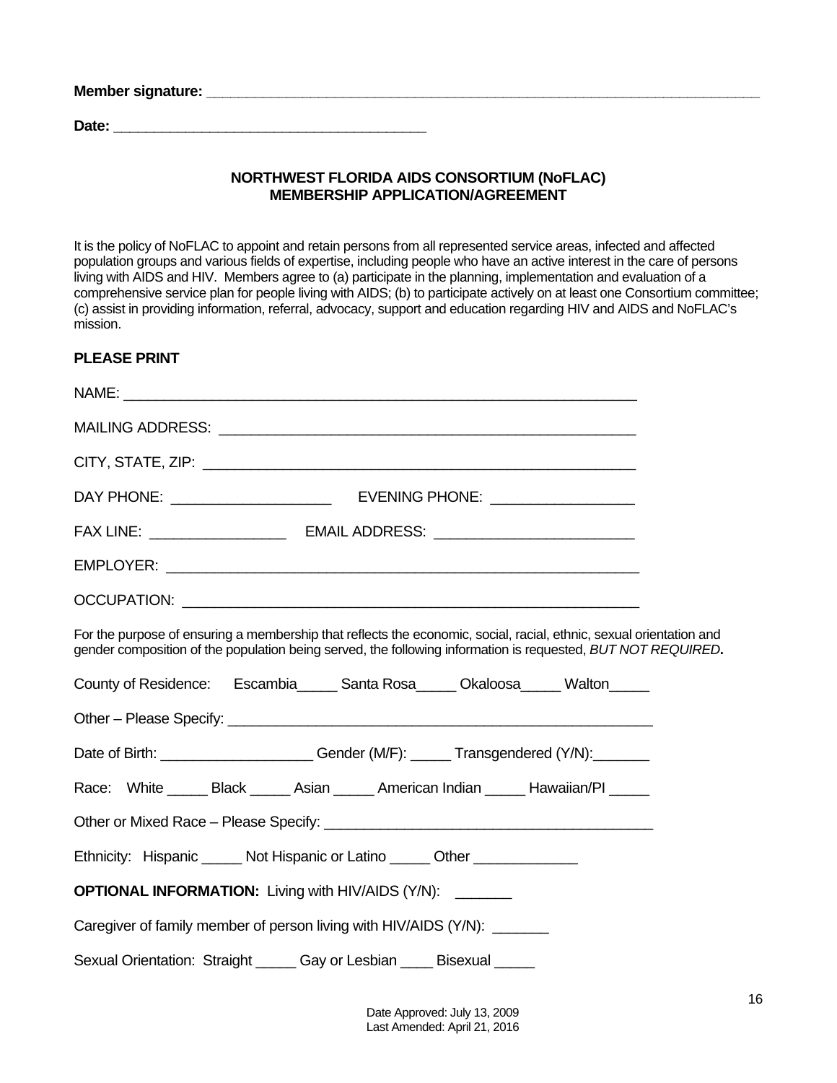| Member signature: |  |  |
|-------------------|--|--|
| Date:             |  |  |

## **NORTHWEST FLORIDA AIDS CONSORTIUM (NoFLAC) MEMBERSHIP APPLICATION/AGREEMENT**

It is the policy of NoFLAC to appoint and retain persons from all represented service areas, infected and affected population groups and various fields of expertise, including people who have an active interest in the care of persons living with AIDS and HIV. Members agree to (a) participate in the planning, implementation and evaluation of a comprehensive service plan for people living with AIDS; (b) to participate actively on at least one Consortium committee; (c) assist in providing information, referral, advocacy, support and education regarding HIV and AIDS and NoFLAC's mission.

## **PLEASE PRINT**

| For the purpose of ensuring a membership that reflects the economic, social, racial, ethnic, sexual orientation and<br>gender composition of the population being served, the following information is requested, BUT NOT REQUIRED. |  |
|-------------------------------------------------------------------------------------------------------------------------------------------------------------------------------------------------------------------------------------|--|
| County of Residence: Escambia______ Santa Rosa______ Okaloosa______ Walton______                                                                                                                                                    |  |
|                                                                                                                                                                                                                                     |  |
| Date of Birth: ______________________Gender (M/F): ______Transgendered (Y/N): _______                                                                                                                                               |  |
| Race: White ______ Black ______ Asian ______ American Indian ______ Hawaiian/PI _____                                                                                                                                               |  |
|                                                                                                                                                                                                                                     |  |
| Ethnicity: Hispanic ______ Not Hispanic or Latino ______ Other ________________                                                                                                                                                     |  |
| <b>OPTIONAL INFORMATION:</b> Living with HIV/AIDS (Y/N):                                                                                                                                                                            |  |
| Caregiver of family member of person living with HIV/AIDS (Y/N): _______                                                                                                                                                            |  |
| Sexual Orientation: Straight _____ Gay or Lesbian ____ Bisexual _____                                                                                                                                                               |  |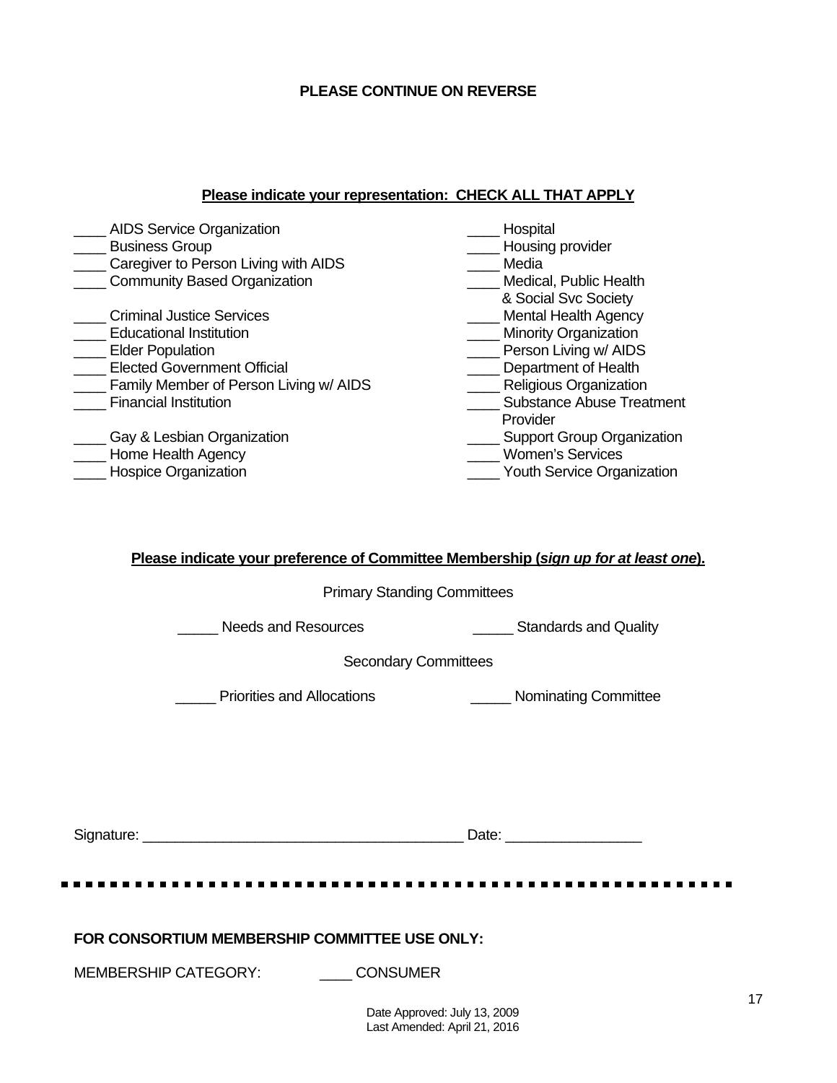## **PLEASE CONTINUE ON REVERSE**

#### **Please indicate your representation: CHECK ALL THAT APPLY**

| <b>AIDS Service Organization</b>       | Hospital                          |
|----------------------------------------|-----------------------------------|
| <b>Business Group</b>                  | Housing provider                  |
| Caregiver to Person Living with AIDS   | Media                             |
| <b>Community Based Organization</b>    | Medical, Public Health            |
|                                        | & Social Svc Society              |
| <b>Criminal Justice Services</b>       | <b>Mental Health Agency</b>       |
| <b>Educational Institution</b>         | <b>Minority Organization</b>      |
| <b>Elder Population</b>                | Person Living w/ AIDS             |
| <b>Elected Government Official</b>     | Department of Health              |
| Family Member of Person Living w/ AIDS | Religious Organization            |
| <b>Financial Institution</b>           | <b>Substance Abuse Treatment</b>  |
|                                        | Provider                          |
| Gay & Lesbian Organization             | <b>Support Group Organization</b> |
| Home Health Agency                     | <b>Women's Services</b>           |
| <b>Hospice Organization</b>            | <b>Youth Service Organization</b> |
|                                        |                                   |

## **Please indicate your preference of Committee Membership (***sign up for at least one***).**

Primary Standing Committees

Lacken Music Needs and Resources **Example 20 and Standards and Quality** 

Secondary Committees

**EXECUTE:** Priorities and Allocations **EXECUTE:** Nominating Committee

| Jianature:<br>וור | .)atr<br>$\overline{\phantom{0}}$<br>--- |
|-------------------|------------------------------------------|
|-------------------|------------------------------------------|

**FOR CONSORTIUM MEMBERSHIP COMMITTEE USE ONLY:** 

MEMBERSHIP CATEGORY: CONSUMER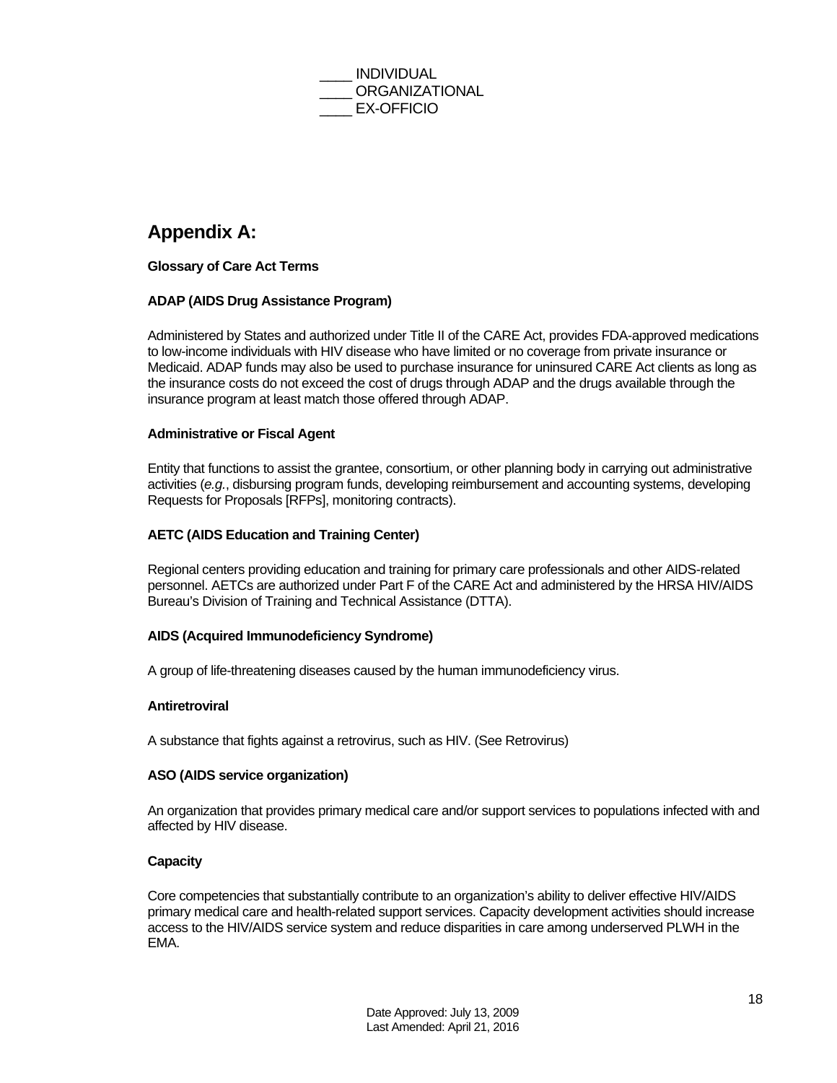

## **Appendix A:**

## **Glossary of Care Act Terms**

## **ADAP (AIDS Drug Assistance Program)**

Administered by States and authorized under Title II of the CARE Act, provides FDA-approved medications to low-income individuals with HIV disease who have limited or no coverage from private insurance or Medicaid. ADAP funds may also be used to purchase insurance for uninsured CARE Act clients as long as the insurance costs do not exceed the cost of drugs through ADAP and the drugs available through the insurance program at least match those offered through ADAP.

#### **Administrative or Fiscal Agent**

Entity that functions to assist the grantee, consortium, or other planning body in carrying out administrative activities (*e.g.*, disbursing program funds, developing reimbursement and accounting systems, developing Requests for Proposals [RFPs], monitoring contracts).

#### **AETC (AIDS Education and Training Center)**

Regional centers providing education and training for primary care professionals and other AIDS-related personnel. AETCs are authorized under Part F of the CARE Act and administered by the HRSA HIV/AIDS Bureau's Division of Training and Technical Assistance (DTTA).

#### **AIDS (Acquired Immunodeficiency Syndrome)**

A group of life-threatening diseases caused by the human immunodeficiency virus.

#### **Antiretroviral**

A substance that fights against a retrovirus, such as HIV. (See Retrovirus)

#### **ASO (AIDS service organization)**

An organization that provides primary medical care and/or support services to populations infected with and affected by HIV disease.

#### **Capacity**

Core competencies that substantially contribute to an organization's ability to deliver effective HIV/AIDS primary medical care and health-related support services. Capacity development activities should increase access to the HIV/AIDS service system and reduce disparities in care among underserved PLWH in the EMA.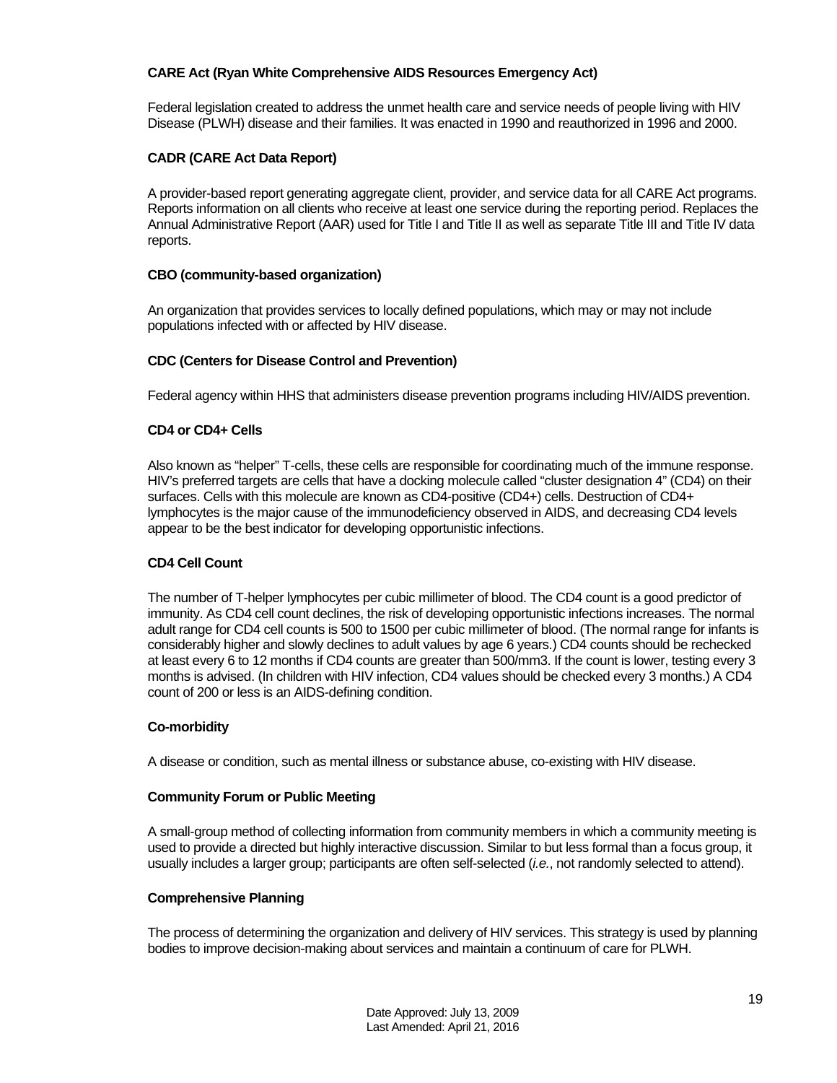#### **CARE Act (Ryan White Comprehensive AIDS Resources Emergency Act)**

Federal legislation created to address the unmet health care and service needs of people living with HIV Disease (PLWH) disease and their families. It was enacted in 1990 and reauthorized in 1996 and 2000.

## **CADR (CARE Act Data Report)**

A provider-based report generating aggregate client, provider, and service data for all CARE Act programs. Reports information on all clients who receive at least one service during the reporting period. Replaces the Annual Administrative Report (AAR) used for Title I and Title II as well as separate Title III and Title IV data reports.

#### **CBO (community-based organization)**

An organization that provides services to locally defined populations, which may or may not include populations infected with or affected by HIV disease.

#### **CDC (Centers for Disease Control and Prevention)**

Federal agency within HHS that administers disease prevention programs including HIV/AIDS prevention.

#### **CD4 or CD4+ Cells**

Also known as "helper" T-cells, these cells are responsible for coordinating much of the immune response. HIV's preferred targets are cells that have a docking molecule called "cluster designation 4" (CD4) on their surfaces. Cells with this molecule are known as CD4-positive (CD4+) cells. Destruction of CD4+ lymphocytes is the major cause of the immunodeficiency observed in AIDS, and decreasing CD4 levels appear to be the best indicator for developing opportunistic infections.

## **CD4 Cell Count**

The number of T-helper lymphocytes per cubic millimeter of blood. The CD4 count is a good predictor of immunity. As CD4 cell count declines, the risk of developing opportunistic infections increases. The normal adult range for CD4 cell counts is 500 to 1500 per cubic millimeter of blood. (The normal range for infants is considerably higher and slowly declines to adult values by age 6 years.) CD4 counts should be rechecked at least every 6 to 12 months if CD4 counts are greater than 500/mm3. If the count is lower, testing every 3 months is advised. (In children with HIV infection, CD4 values should be checked every 3 months.) A CD4 count of 200 or less is an AIDS-defining condition.

#### **Co-morbidity**

A disease or condition, such as mental illness or substance abuse, co-existing with HIV disease.

#### **Community Forum or Public Meeting**

A small-group method of collecting information from community members in which a community meeting is used to provide a directed but highly interactive discussion. Similar to but less formal than a focus group, it usually includes a larger group; participants are often self-selected (*i.e.*, not randomly selected to attend).

#### **Comprehensive Planning**

The process of determining the organization and delivery of HIV services. This strategy is used by planning bodies to improve decision-making about services and maintain a continuum of care for PLWH.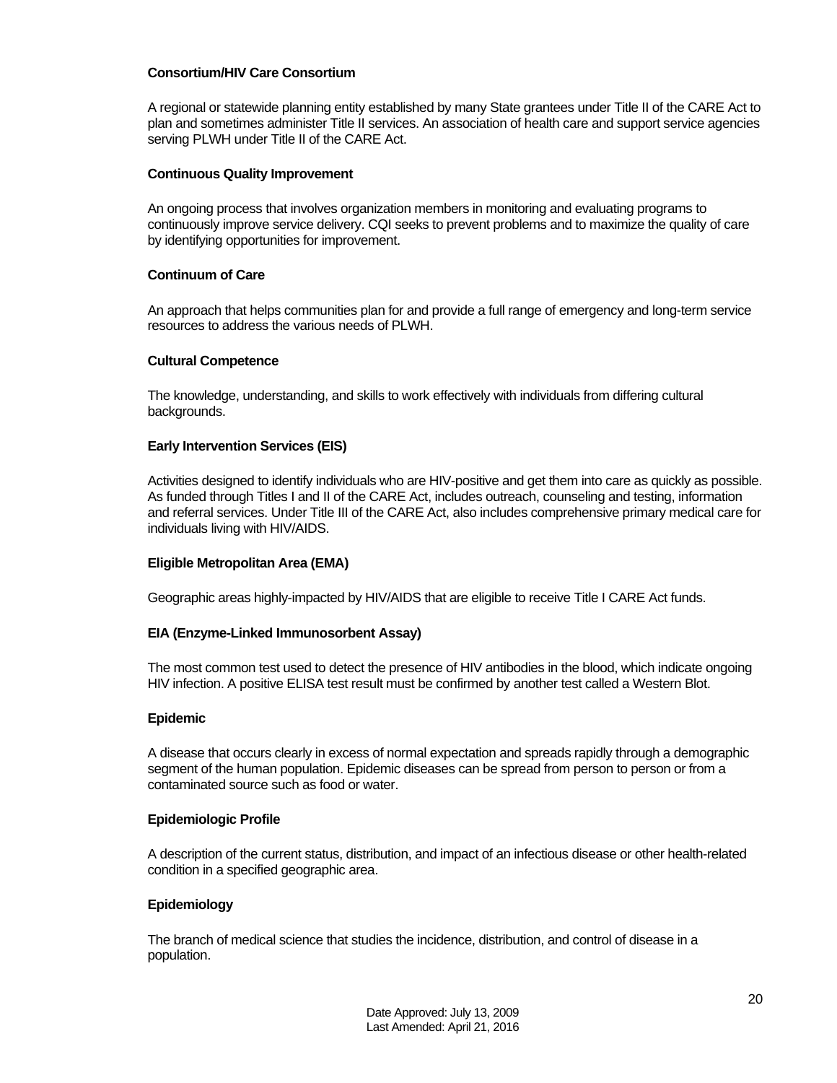#### **Consortium/HIV Care Consortium**

A regional or statewide planning entity established by many State grantees under Title II of the CARE Act to plan and sometimes administer Title II services. An association of health care and support service agencies serving PLWH under Title II of the CARE Act.

#### **Continuous Quality Improvement**

An ongoing process that involves organization members in monitoring and evaluating programs to continuously improve service delivery. CQI seeks to prevent problems and to maximize the quality of care by identifying opportunities for improvement.

#### **Continuum of Care**

An approach that helps communities plan for and provide a full range of emergency and long-term service resources to address the various needs of PLWH.

#### **Cultural Competence**

The knowledge, understanding, and skills to work effectively with individuals from differing cultural backgrounds.

#### **Early Intervention Services (EIS)**

Activities designed to identify individuals who are HIV-positive and get them into care as quickly as possible. As funded through Titles I and II of the CARE Act, includes outreach, counseling and testing, information and referral services. Under Title III of the CARE Act, also includes comprehensive primary medical care for individuals living with HIV/AIDS.

#### **Eligible Metropolitan Area (EMA)**

Geographic areas highly-impacted by HIV/AIDS that are eligible to receive Title I CARE Act funds.

#### **EIA (Enzyme-Linked Immunosorbent Assay)**

The most common test used to detect the presence of HIV antibodies in the blood, which indicate ongoing HIV infection. A positive ELISA test result must be confirmed by another test called a Western Blot.

#### **Epidemic**

A disease that occurs clearly in excess of normal expectation and spreads rapidly through a demographic segment of the human population. Epidemic diseases can be spread from person to person or from a contaminated source such as food or water.

#### **Epidemiologic Profile**

A description of the current status, distribution, and impact of an infectious disease or other health-related condition in a specified geographic area.

#### **Epidemiology**

The branch of medical science that studies the incidence, distribution, and control of disease in a population.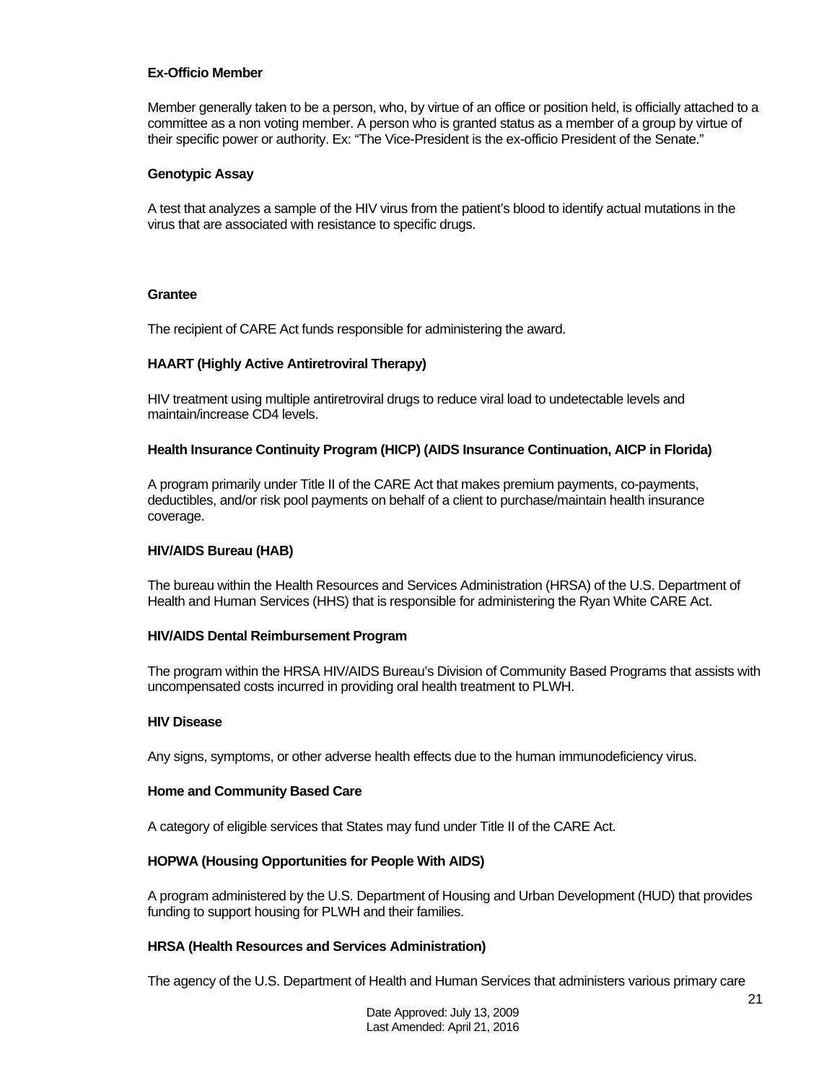#### **Ex-Officio Member**

Member generally taken to be a person, who, by virtue of an office or position held, is officially attached to a committee as a non voting member. A person who is granted status as a member of a group by virtue of their specific power or authority. Ex: "The Vice-President is the ex-officio President of the Senate."

#### **Genotypic Assay**

A test that analyzes a sample of the HIV virus from the patient's blood to identify actual mutations in the virus that are associated with resistance to specific drugs.

#### **Grantee**

The recipient of CARE Act funds responsible for administering the award.

#### **HAART (Highly Active Antiretroviral Therapy)**

HIV treatment using multiple antiretroviral drugs to reduce viral load to undetectable levels and maintain/increase CD4 levels.

#### **Health Insurance Continuity Program (HICP) (AIDS Insurance Continuation, AICP in Florida)**

A program primarily under Title II of the CARE Act that makes premium payments, co-payments, deductibles, and/or risk pool payments on behalf of a client to purchase/maintain health insurance coverage.

#### **HIV/AIDS Bureau (HAB)**

The bureau within the Health Resources and Services Administration (HRSA) of the U.S. Department of Health and Human Services (HHS) that is responsible for administering the Ryan White CARE Act.

#### **HIV/AIDS Dental Reimbursement Program**

The program within the HRSA HIV/AIDS Bureau's Division of Community Based Programs that assists with uncompensated costs incurred in providing oral health treatment to PLWH.

#### **HIV Disease**

Any signs, symptoms, or other adverse health effects due to the human immunodeficiency virus.

#### **Home and Community Based Care**

A category of eligible services that States may fund under Title II of the CARE Act.

#### **HOPWA (Housing Opportunities for People With AIDS)**

A program administered by the U.S. Department of Housing and Urban Development (HUD) that provides funding to support housing for PLWH and their families.

#### **HRSA (Health Resources and Services Administration)**

The agency of the U.S. Department of Health and Human Services that administers various primary care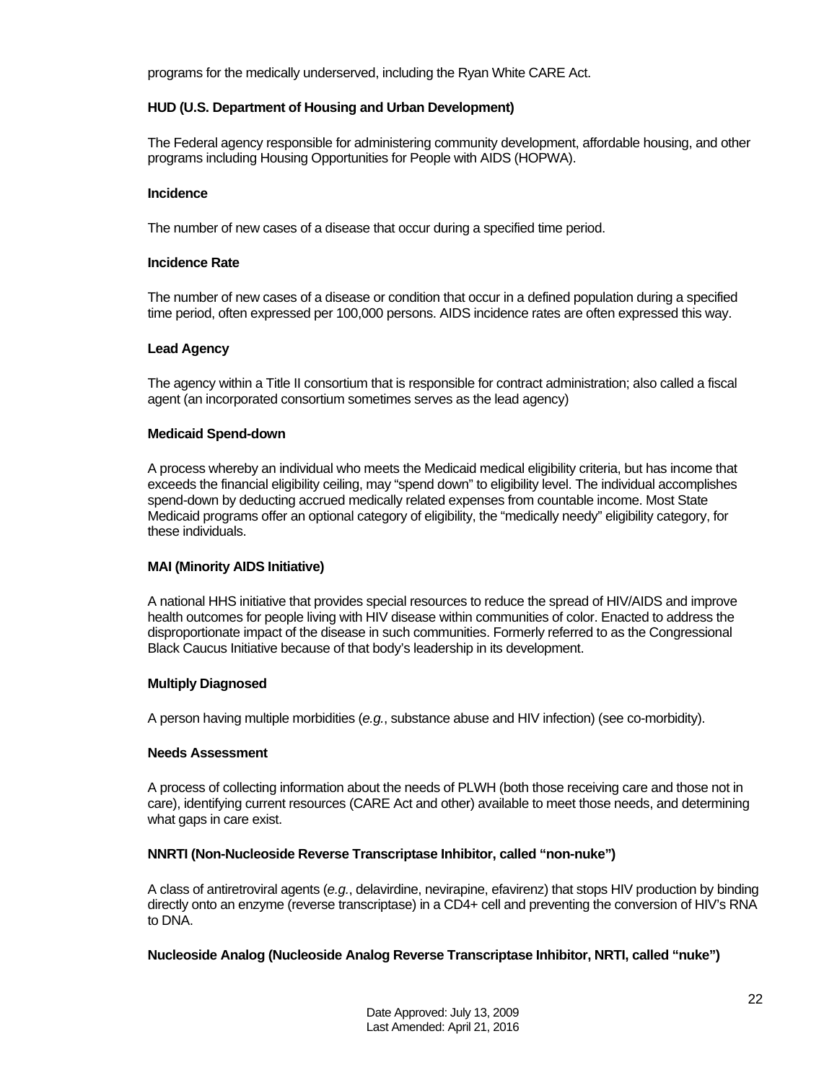programs for the medically underserved, including the Ryan White CARE Act.

#### **HUD (U.S. Department of Housing and Urban Development)**

The Federal agency responsible for administering community development, affordable housing, and other programs including Housing Opportunities for People with AIDS (HOPWA).

#### **Incidence**

The number of new cases of a disease that occur during a specified time period.

#### **Incidence Rate**

The number of new cases of a disease or condition that occur in a defined population during a specified time period, often expressed per 100,000 persons. AIDS incidence rates are often expressed this way.

#### **Lead Agency**

The agency within a Title II consortium that is responsible for contract administration; also called a fiscal agent (an incorporated consortium sometimes serves as the lead agency)

#### **Medicaid Spend-down**

A process whereby an individual who meets the Medicaid medical eligibility criteria, but has income that exceeds the financial eligibility ceiling, may "spend down" to eligibility level. The individual accomplishes spend-down by deducting accrued medically related expenses from countable income. Most State Medicaid programs offer an optional category of eligibility, the "medically needy" eligibility category, for these individuals.

#### **MAI (Minority AIDS Initiative)**

A national HHS initiative that provides special resources to reduce the spread of HIV/AIDS and improve health outcomes for people living with HIV disease within communities of color. Enacted to address the disproportionate impact of the disease in such communities. Formerly referred to as the Congressional Black Caucus Initiative because of that body's leadership in its development.

#### **Multiply Diagnosed**

A person having multiple morbidities (*e.g.*, substance abuse and HIV infection) (see co-morbidity).

#### **Needs Assessment**

A process of collecting information about the needs of PLWH (both those receiving care and those not in care), identifying current resources (CARE Act and other) available to meet those needs, and determining what gaps in care exist.

#### **NNRTI (Non-Nucleoside Reverse Transcriptase Inhibitor, called "non-nuke")**

A class of antiretroviral agents (*e.g.*, delavirdine, nevirapine, efavirenz) that stops HIV production by binding directly onto an enzyme (reverse transcriptase) in a CD4+ cell and preventing the conversion of HIV's RNA to DNA.

#### **Nucleoside Analog (Nucleoside Analog Reverse Transcriptase Inhibitor, NRTI, called "nuke")**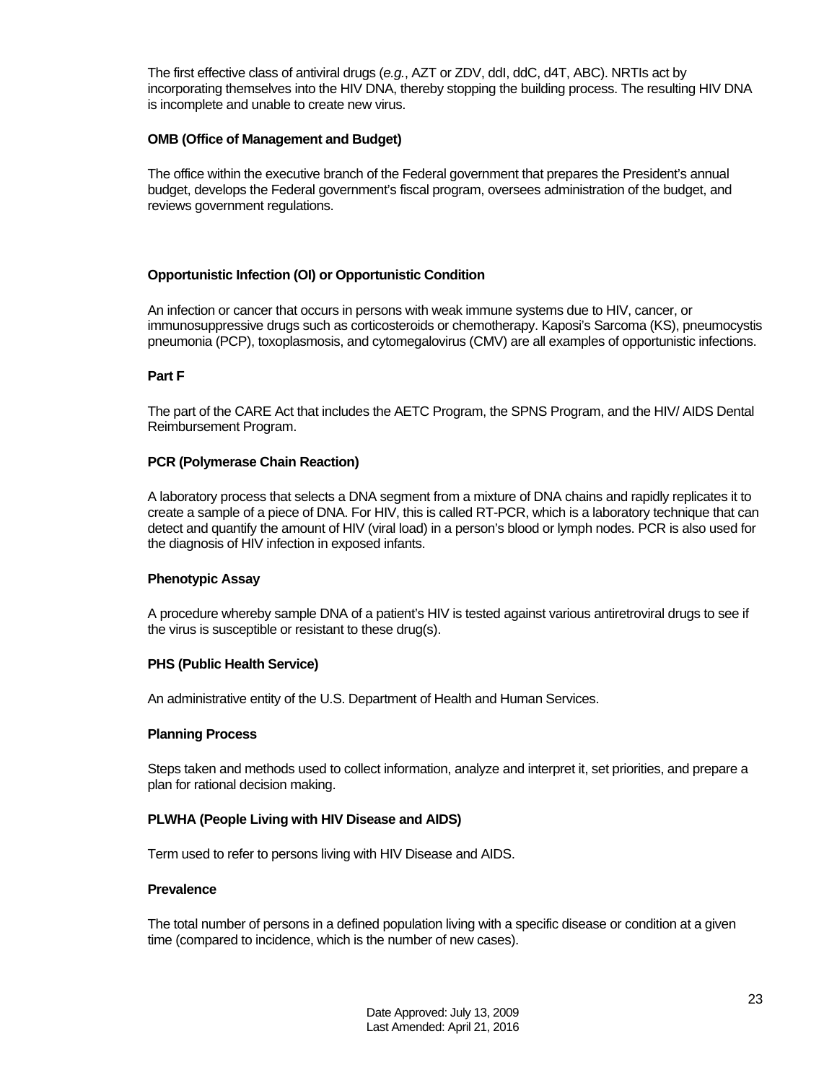The first effective class of antiviral drugs (*e.g.*, AZT or ZDV, ddI, ddC, d4T, ABC). NRTIs act by incorporating themselves into the HIV DNA, thereby stopping the building process. The resulting HIV DNA is incomplete and unable to create new virus.

#### **OMB (Office of Management and Budget)**

The office within the executive branch of the Federal government that prepares the President's annual budget, develops the Federal government's fiscal program, oversees administration of the budget, and reviews government regulations.

## **Opportunistic Infection (OI) or Opportunistic Condition**

An infection or cancer that occurs in persons with weak immune systems due to HIV, cancer, or immunosuppressive drugs such as corticosteroids or chemotherapy. Kaposi's Sarcoma (KS), pneumocystis pneumonia (PCP), toxoplasmosis, and cytomegalovirus (CMV) are all examples of opportunistic infections.

#### **Part F**

The part of the CARE Act that includes the AETC Program, the SPNS Program, and the HIV/ AIDS Dental Reimbursement Program.

#### **PCR (Polymerase Chain Reaction)**

A laboratory process that selects a DNA segment from a mixture of DNA chains and rapidly replicates it to create a sample of a piece of DNA. For HIV, this is called RT-PCR, which is a laboratory technique that can detect and quantify the amount of HIV (viral load) in a person's blood or lymph nodes. PCR is also used for the diagnosis of HIV infection in exposed infants.

#### **Phenotypic Assay**

A procedure whereby sample DNA of a patient's HIV is tested against various antiretroviral drugs to see if the virus is susceptible or resistant to these drug(s).

#### **PHS (Public Health Service)**

An administrative entity of the U.S. Department of Health and Human Services.

#### **Planning Process**

Steps taken and methods used to collect information, analyze and interpret it, set priorities, and prepare a plan for rational decision making.

#### **PLWHA (People Living with HIV Disease and AIDS)**

Term used to refer to persons living with HIV Disease and AIDS.

#### **Prevalence**

The total number of persons in a defined population living with a specific disease or condition at a given time (compared to incidence, which is the number of new cases).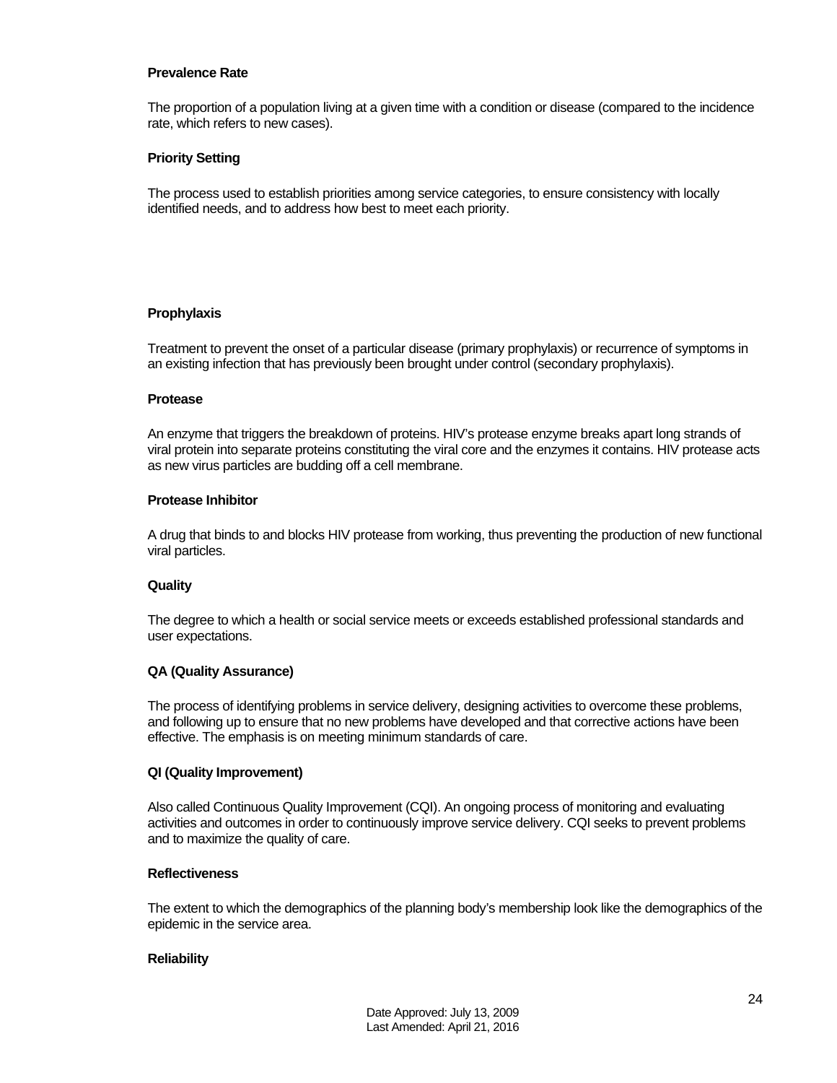#### **Prevalence Rate**

The proportion of a population living at a given time with a condition or disease (compared to the incidence rate, which refers to new cases).

#### **Priority Setting**

The process used to establish priorities among service categories, to ensure consistency with locally identified needs, and to address how best to meet each priority.

#### **Prophylaxis**

Treatment to prevent the onset of a particular disease (primary prophylaxis) or recurrence of symptoms in an existing infection that has previously been brought under control (secondary prophylaxis).

#### **Protease**

An enzyme that triggers the breakdown of proteins. HIV's protease enzyme breaks apart long strands of viral protein into separate proteins constituting the viral core and the enzymes it contains. HIV protease acts as new virus particles are budding off a cell membrane.

#### **Protease Inhibitor**

A drug that binds to and blocks HIV protease from working, thus preventing the production of new functional viral particles.

#### **Quality**

The degree to which a health or social service meets or exceeds established professional standards and user expectations.

#### **QA (Quality Assurance)**

The process of identifying problems in service delivery, designing activities to overcome these problems, and following up to ensure that no new problems have developed and that corrective actions have been effective. The emphasis is on meeting minimum standards of care.

#### **QI (Quality Improvement)**

Also called Continuous Quality Improvement (CQI). An ongoing process of monitoring and evaluating activities and outcomes in order to continuously improve service delivery. CQI seeks to prevent problems and to maximize the quality of care.

#### **Reflectiveness**

The extent to which the demographics of the planning body's membership look like the demographics of the epidemic in the service area.

#### **Reliability**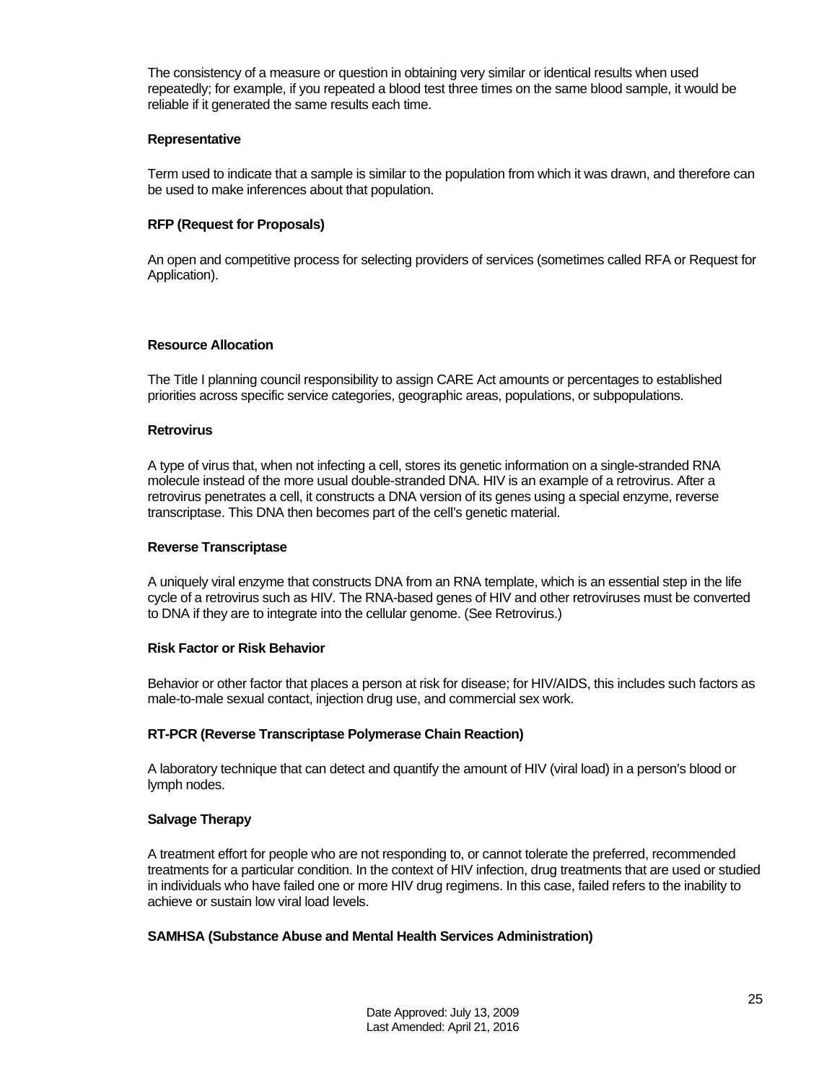The consistency of a measure or question in obtaining very similar or identical results when used repeatedly; for example, if you repeated a blood test three times on the same blood sample, it would be reliable if it generated the same results each time.

#### **Representative**

Term used to indicate that a sample is similar to the population from which it was drawn, and therefore can be used to make inferences about that population.

#### **RFP (Request for Proposals)**

An open and competitive process for selecting providers of services (sometimes called RFA or Request for Application).

#### **Resource Allocation**

The Title I planning council responsibility to assign CARE Act amounts or percentages to established priorities across specific service categories, geographic areas, populations, or subpopulations.

#### **Retrovirus**

A type of virus that, when not infecting a cell, stores its genetic information on a single-stranded RNA molecule instead of the more usual double-stranded DNA. HIV is an example of a retrovirus. After a retrovirus penetrates a cell, it constructs a DNA version of its genes using a special enzyme, reverse transcriptase. This DNA then becomes part of the cell's genetic material.

#### **Reverse Transcriptase**

A uniquely viral enzyme that constructs DNA from an RNA template, which is an essential step in the life cycle of a retrovirus such as HIV. The RNA-based genes of HIV and other retroviruses must be converted to DNA if they are to integrate into the cellular genome. (See Retrovirus.)

#### **Risk Factor or Risk Behavior**

Behavior or other factor that places a person at risk for disease; for HIV/AIDS, this includes such factors as male-to-male sexual contact, injection drug use, and commercial sex work.

#### **RT-PCR (Reverse Transcriptase Polymerase Chain Reaction)**

A laboratory technique that can detect and quantify the amount of HIV (viral load) in a person's blood or lymph nodes.

#### **Salvage Therapy**

A treatment effort for people who are not responding to, or cannot tolerate the preferred, recommended treatments for a particular condition. In the context of HIV infection, drug treatments that are used or studied in individuals who have failed one or more HIV drug regimens. In this case, failed refers to the inability to achieve or sustain low viral load levels.

#### **SAMHSA (Substance Abuse and Mental Health Services Administration)**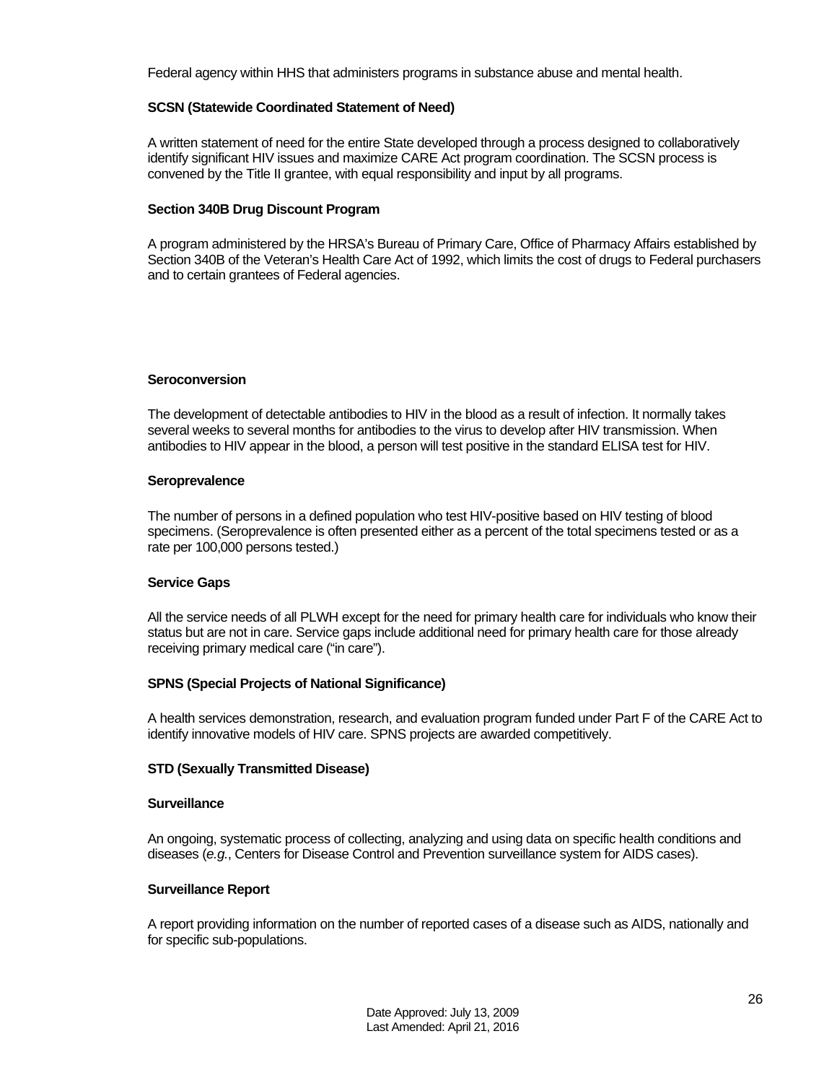Federal agency within HHS that administers programs in substance abuse and mental health.

#### **SCSN (Statewide Coordinated Statement of Need)**

A written statement of need for the entire State developed through a process designed to collaboratively identify significant HIV issues and maximize CARE Act program coordination. The SCSN process is convened by the Title II grantee, with equal responsibility and input by all programs.

#### **Section 340B Drug Discount Program**

A program administered by the HRSA's Bureau of Primary Care, Office of Pharmacy Affairs established by Section 340B of the Veteran's Health Care Act of 1992, which limits the cost of drugs to Federal purchasers and to certain grantees of Federal agencies.

#### **Seroconversion**

The development of detectable antibodies to HIV in the blood as a result of infection. It normally takes several weeks to several months for antibodies to the virus to develop after HIV transmission. When antibodies to HIV appear in the blood, a person will test positive in the standard ELISA test for HIV.

#### **Seroprevalence**

The number of persons in a defined population who test HIV-positive based on HIV testing of blood specimens. (Seroprevalence is often presented either as a percent of the total specimens tested or as a rate per 100,000 persons tested.)

#### **Service Gaps**

All the service needs of all PLWH except for the need for primary health care for individuals who know their status but are not in care. Service gaps include additional need for primary health care for those already receiving primary medical care ("in care").

#### **SPNS (Special Projects of National Significance)**

A health services demonstration, research, and evaluation program funded under Part F of the CARE Act to identify innovative models of HIV care. SPNS projects are awarded competitively.

#### **STD (Sexually Transmitted Disease)**

#### **Surveillance**

An ongoing, systematic process of collecting, analyzing and using data on specific health conditions and diseases (*e.g.*, Centers for Disease Control and Prevention surveillance system for AIDS cases).

#### **Surveillance Report**

A report providing information on the number of reported cases of a disease such as AIDS, nationally and for specific sub-populations.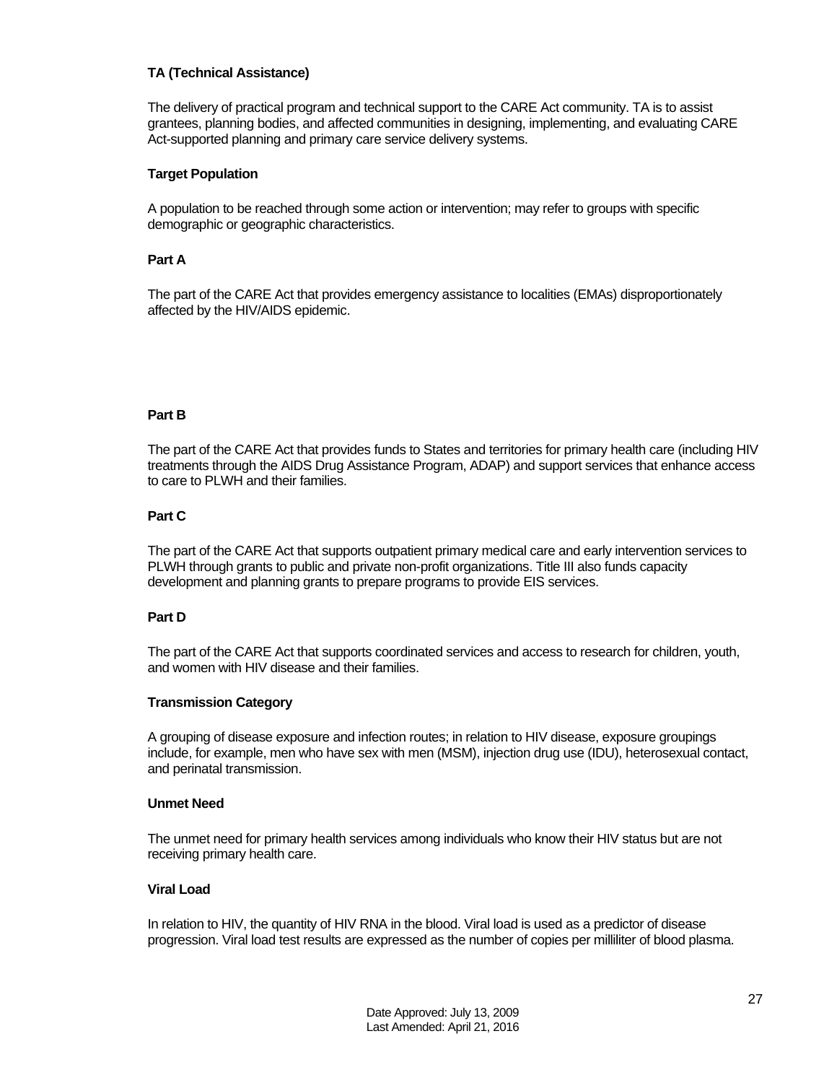#### **TA (Technical Assistance)**

The delivery of practical program and technical support to the CARE Act community. TA is to assist grantees, planning bodies, and affected communities in designing, implementing, and evaluating CARE Act-supported planning and primary care service delivery systems.

#### **Target Population**

A population to be reached through some action or intervention; may refer to groups with specific demographic or geographic characteristics.

#### **Part A**

The part of the CARE Act that provides emergency assistance to localities (EMAs) disproportionately affected by the HIV/AIDS epidemic.

#### **Part B**

The part of the CARE Act that provides funds to States and territories for primary health care (including HIV treatments through the AIDS Drug Assistance Program, ADAP) and support services that enhance access to care to PLWH and their families.

#### **Part C**

The part of the CARE Act that supports outpatient primary medical care and early intervention services to PLWH through grants to public and private non-profit organizations. Title III also funds capacity development and planning grants to prepare programs to provide EIS services.

#### **Part D**

The part of the CARE Act that supports coordinated services and access to research for children, youth, and women with HIV disease and their families.

#### **Transmission Category**

A grouping of disease exposure and infection routes; in relation to HIV disease, exposure groupings include, for example, men who have sex with men (MSM), injection drug use (IDU), heterosexual contact, and perinatal transmission.

#### **Unmet Need**

The unmet need for primary health services among individuals who know their HIV status but are not receiving primary health care.

#### **Viral Load**

In relation to HIV, the quantity of HIV RNA in the blood. Viral load is used as a predictor of disease progression. Viral load test results are expressed as the number of copies per milliliter of blood plasma.